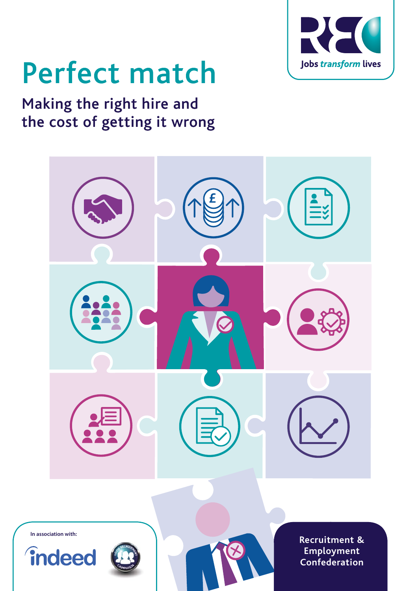

# Perfect match

## Making the right hire and the cost of getting it wrong

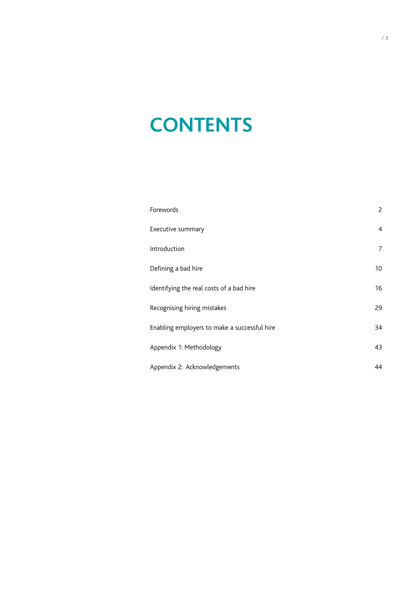## **CONTENTS**

| Forewords                                    | $\overline{c}$ |
|----------------------------------------------|----------------|
| Executive summary                            | $\overline{4}$ |
| Introduction                                 | 7              |
| Defining a bad hire                          | 10             |
| Identifying the real costs of a bad hire     | 16             |
| Recognising hiring mistakes                  | 29             |
| Enabling employers to make a successful hire | 34             |
| Appendix 1: Methodology                      | 43             |
| Appendix 2: Acknowledgements                 | 44             |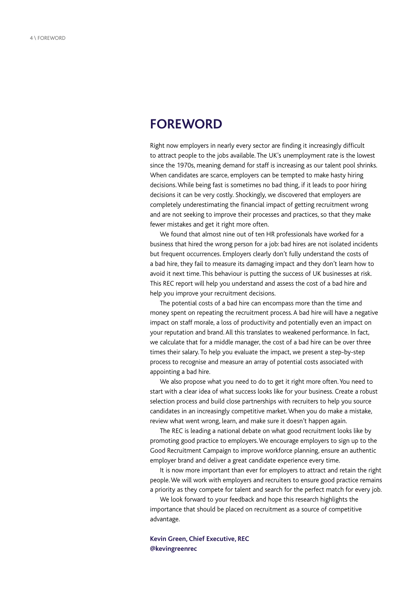### **FOREWORD**

Right now employers in nearly every sector are finding it increasingly difficult to attract people to the jobs available. The UK's unemployment rate is the lowest since the 1970s, meaning demand for staff is increasing as our talent pool shrinks. When candidates are scarce, employers can be tempted to make hasty hiring decisions. While being fast is sometimes no bad thing, if it leads to poor hiring decisions it can be very costly. Shockingly, we discovered that employers are completely underestimating the financial impact of getting recruitment wrong and are not seeking to improve their processes and practices, so that they make fewer mistakes and get it right more often.

We found that almost nine out of ten HR professionals have worked for a business that hired the wrong person for a job: bad hires are not isolated incidents but frequent occurrences. Employers clearly don't fully understand the costs of a bad hire, they fail to measure its damaging impact and they don't learn how to avoid it next time. This behaviour is putting the success of UK businesses at risk. This REC report will help you understand and assess the cost of a bad hire and help you improve your recruitment decisions.

The potential costs of a bad hire can encompass more than the time and money spent on repeating the recruitment process. A bad hire will have a negative impact on staff morale, a loss of productivity and potentially even an impact on your reputation and brand. All this translates to weakened performance. In fact, we calculate that for a middle manager, the cost of a bad hire can be over three times their salary. To help you evaluate the impact, we present a step-by-step process to recognise and measure an array of potential costs associated with appointing a bad hire.

We also propose what you need to do to get it right more often. You need to start with a clear idea of what success looks like for your business. Create a robust selection process and build close partnerships with recruiters to help you source candidates in an increasingly competitive market. When you do make a mistake, review what went wrong, learn, and make sure it doesn't happen again.

The REC is leading a national debate on what good recruitment looks like by promoting good practice to employers. We encourage employers to sign up to the Good Recruitment Campaign to improve workforce planning, ensure an authentic employer brand and deliver a great candidate experience every time.

It is now more important than ever for employers to attract and retain the right people. We will work with employers and recruiters to ensure good practice remains a priority as they compete for talent and search for the perfect match for every job.

We look forward to your feedback and hope this research highlights the importance that should be placed on recruitment as a source of competitive advantage.

**Kevin Green, Chief Executive, REC @kevingreenrec**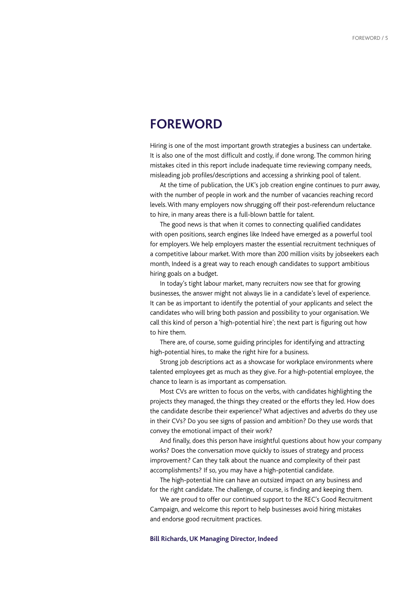### **FOREWORD**

Hiring is one of the most important growth strategies a business can undertake. It is also one of the most difficult and costly, if done wrong. The common hiring mistakes cited in this report include inadequate time reviewing company needs, misleading job profiles/descriptions and accessing a shrinking pool of talent.

At the time of publication, the UK's job creation engine continues to purr away, with the number of people in work and the number of vacancies reaching record levels. With many employers now shrugging off their post-referendum reluctance to hire, in many areas there is a full-blown battle for talent.

The good news is that when it comes to connecting qualified candidates with open positions, search engines like Indeed have emerged as a powerful tool for employers. We help employers master the essential recruitment techniques of a competitive labour market. With more than 200 million visits by jobseekers each month, Indeed is a great way to reach enough candidates to support ambitious hiring goals on a budget.

In today's tight labour market, many recruiters now see that for growing businesses, the answer might not always lie in a candidate's level of experience. It can be as important to identify the potential of your applicants and select the candidates who will bring both passion and possibility to your organisation. We call this kind of person a 'high-potential hire'; the next part is figuring out how to hire them.

There are, of course, some guiding principles for identifying and attracting high-potential hires, to make the right hire for a business.

Strong job descriptions act as a showcase for workplace environments where talented employees get as much as they give. For a high-potential employee, the chance to learn is as important as compensation.

Most CVs are written to focus on the verbs, with candidates highlighting the projects they managed, the things they created or the efforts they led. How does the candidate describe their experience? What adjectives and adverbs do they use in their CVs? Do you see signs of passion and ambition? Do they use words that convey the emotional impact of their work?

And finally, does this person have insightful questions about how your company works? Does the conversation move quickly to issues of strategy and process improvement? Can they talk about the nuance and complexity of their past accomplishments? If so, you may have a high-potential candidate.

The high-potential hire can have an outsized impact on any business and for the right candidate. The challenge, of course, is finding and keeping them.

We are proud to offer our continued support to the REC's Good Recruitment Campaign, and welcome this report to help businesses avoid hiring mistakes and endorse good recruitment practices.

#### **Bill Richards, UK Managing Director, Indeed**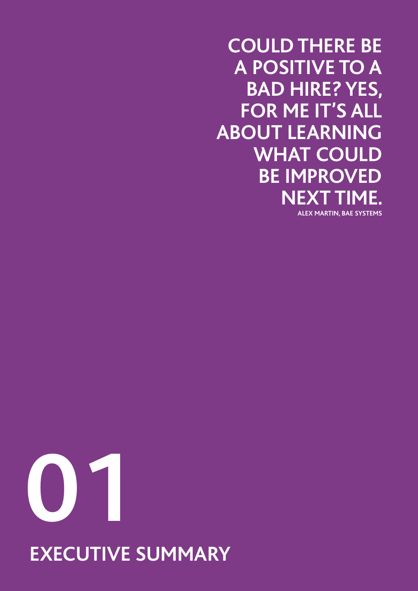<span id="page-5-0"></span>**COULD THERE BE A POSITIVE TO A BAD HIRE? YES, FOR ME IT'S ALL ABOUT LEARNING WHAT COULD BE IMPROVED NEXT TIME. ALEX MARTIN, BAE SYSTEMS**

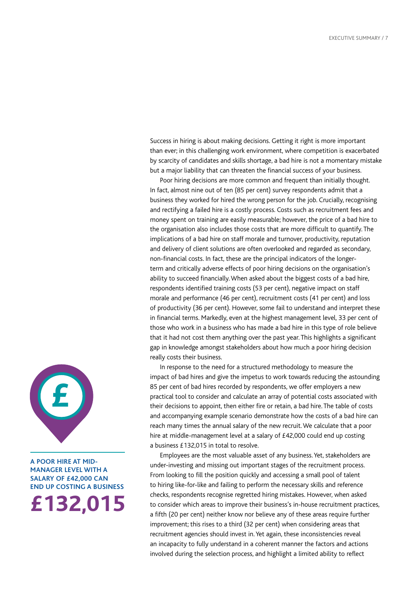Success in hiring is about making decisions. Getting it right is more important than ever; in this challenging work environment, where competition is exacerbated by scarcity of candidates and skills shortage, a bad hire is not a momentary mistake but a major liability that can threaten the financial success of your business.

Poor hiring decisions are more common and frequent than initially thought. In fact, almost nine out of ten (85 per cent) survey respondents admit that a business they worked for hired the wrong person for the job. Crucially, recognising and rectifying a failed hire is a costly process. Costs such as recruitment fees and money spent on training are easily measurable; however, the price of a bad hire to the organisation also includes those costs that are more difficult to quantify. The implications of a bad hire on staff morale and turnover, productivity, reputation and delivery of client solutions are often overlooked and regarded as secondary, non-financial costs. In fact, these are the principal indicators of the longerterm and critically adverse effects of poor hiring decisions on the organisation's ability to succeed financially. When asked about the biggest costs of a bad hire, respondents identified training costs (53 per cent), negative impact on staff morale and performance (46 per cent), recruitment costs (41 per cent) and loss of productivity (36 per cent). However, some fail to understand and interpret these in financial terms. Markedly, even at the highest management level, 33 per cent of those who work in a business who has made a bad hire in this type of role believe that it had not cost them anything over the past year. This highlights a significant gap in knowledge amongst stakeholders about how much a poor hiring decision really costs their business.

In response to the need for a structured methodology to measure the impact of bad hires and give the impetus to work towards reducing the astounding 85 per cent of bad hires recorded by respondents, we offer employers a new practical tool to consider and calculate an array of potential costs associated with their decisions to appoint, then either fire or retain, a bad hire. The table of costs and accompanying example scenario demonstrate how the costs of a bad hire can reach many times the annual salary of the new recruit. We calculate that a poor hire at middle-management level at a salary of £42,000 could end up costing a business £132,015 in total to resolve.

Employees are the most valuable asset of any business. Yet, stakeholders are under-investing and missing out important stages of the recruitment process. From looking to fill the position quickly and accessing a small pool of talent to hiring like-for-like and failing to perform the necessary skills and reference checks, respondents recognise regretted hiring mistakes. However, when asked to consider which areas to improve their business's in-house recruitment practices, a fifth (20 per cent) neither know nor believe any of these areas require further improvement; this rises to a third (32 per cent) when considering areas that recruitment agencies should invest in. Yet again, these inconsistencies reveal an incapacity to fully understand in a coherent manner the factors and actions involved during the selection process, and highlight a limited ability to reflect



#### **£132,015 A POOR HIRE AT MID-MANAGER LEVEL WITH A SALARY OF £42,000 CAN END UP COSTING A BUSINESS**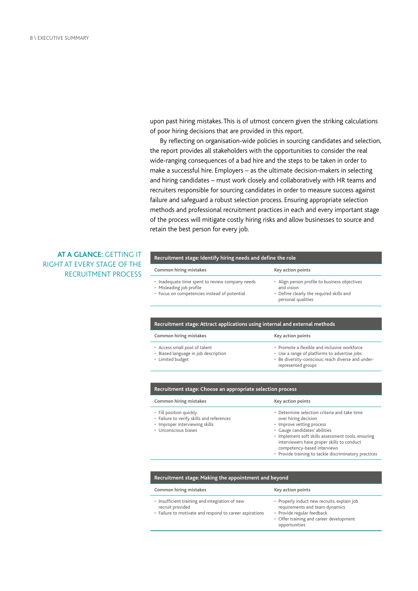upon past hiring mistakes. This is of utmost concern given the striking calculations of poor hiring decisions that are provided in this report.

By reflecting on organisation-wide policies in sourcing candidates and selection, the report provides all stakeholders with the opportunities to consider the real wide-ranging consequences of a bad hire and the steps to be taken in order to make a successful hire. Employers – as the ultimate decision-makers in selecting and hiring candidates – must work closely and collaboratively with HR teams and recruiters responsible for sourcing candidates in order to measure success against failure and safeguard a robust selection process. Ensuring appropriate selection methods and professional recruitment practices in each and every important stage of the process will mitigate costly hiring risks and allow businesses to source and retain the best person for every job.

#### **AT A GLANCE:** GETTING IT RIGHT AT EVERY STAGE OF THE RECRUITMENT PROCESS

#### **Recruitment stage: Identify hiring needs and define the role**

- Common hiring mistakes **Key action points** • Inadequate time spent to review company needs • Misleading job profile • Align person profile to business objectives
- Focus on competencies instead of potential
- and vision • Define clearly the required skills and personal qualities

• Provide training to tackle discriminatory practices

| Common hiring mistakes                                                                    | Key action points                                                                                                                                                        |
|-------------------------------------------------------------------------------------------|--------------------------------------------------------------------------------------------------------------------------------------------------------------------------|
| • Access small pool of talent<br>· Biased language in job description<br>· Limited budget | • Promote a flexible and inclusive workforce<br>• Use a range of platforms to advertise jobs<br>• Be diversity-conscious; reach diverse and under-<br>represented groups |
|                                                                                           |                                                                                                                                                                          |
|                                                                                           |                                                                                                                                                                          |
|                                                                                           |                                                                                                                                                                          |
| Common hiring mistakes                                                                    | Key action points                                                                                                                                                        |
| Recruitment stage: Choose an appropriate selection process<br>· Fill position quickly     | • Determine selection criteria and take time                                                                                                                             |
| • Failure to verify skills and references                                                 | over hiring decision                                                                                                                                                     |
| • Improper interviewing skills                                                            | • Improve vetting process                                                                                                                                                |
| · Unconscious biases                                                                      | · Gauge candidates' abilities                                                                                                                                            |
|                                                                                           | · Implement soft skills assessment tools, ensuring                                                                                                                       |
|                                                                                           | interviewers have proper skills to conduct                                                                                                                               |

| Recruitment stage: Making the appointment and beyond                                                                          |                                                                                                                                                                         |
|-------------------------------------------------------------------------------------------------------------------------------|-------------------------------------------------------------------------------------------------------------------------------------------------------------------------|
| Common hiring mistakes                                                                                                        | Key action points                                                                                                                                                       |
| • Insufficient training and integration of new<br>recruit provided<br>• Failure to motivate and respond to career aspirations | · Properly induct new recruits, explain job<br>requirements and team dynamics<br>· Provide regular feedback<br>• Offer training and career development<br>opportunities |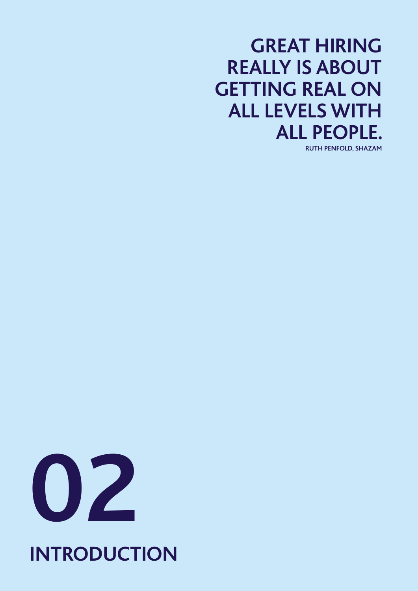## <span id="page-8-0"></span>**GREAT HIRING REALLY IS ABOUT GETTING REAL ON ALL LEVELS WITH ALL PEOPLE. RUTH PENFOLD, SHAZAM**



## **INTRODUCTION**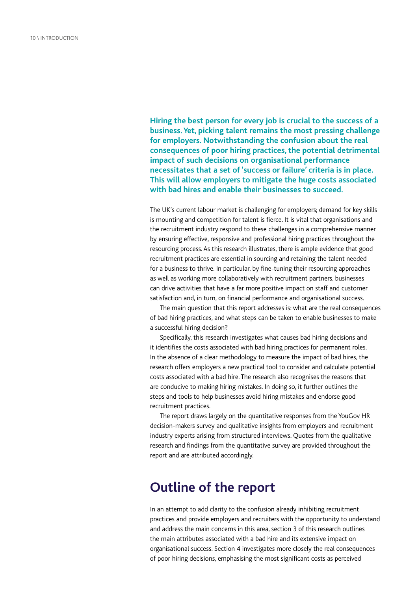**Hiring the best person for every job is crucial to the success of a business. Yet, picking talent remains the most pressing challenge for employers. Notwithstanding the confusion about the real consequences of poor hiring practices, the potential detrimental impact of such decisions on organisational performance necessitates that a set of 'success or failure' criteria is in place. This will allow employers to mitigate the huge costs associated with bad hires and enable their businesses to succeed.** 

The UK's current labour market is challenging for employers; demand for key skills is mounting and competition for talent is fierce. It is vital that organisations and the recruitment industry respond to these challenges in a comprehensive manner by ensuring effective, responsive and professional hiring practices throughout the resourcing process. As this research illustrates, there is ample evidence that good recruitment practices are essential in sourcing and retaining the talent needed for a business to thrive. In particular, by fine-tuning their resourcing approaches as well as working more collaboratively with recruitment partners, businesses can drive activities that have a far more positive impact on staff and customer satisfaction and, in turn, on financial performance and organisational success.

The main question that this report addresses is: what are the real consequences of bad hiring practices, and what steps can be taken to enable businesses to make a successful hiring decision?

Specifically, this research investigates what causes bad hiring decisions and it identifies the costs associated with bad hiring practices for permanent roles. In the absence of a clear methodology to measure the impact of bad hires, the research offers employers a new practical tool to consider and calculate potential costs associated with a bad hire. The research also recognises the reasons that are conducive to making hiring mistakes. In doing so, it further outlines the steps and tools to help businesses avoid hiring mistakes and endorse good recruitment practices.

The report draws largely on the quantitative responses from the YouGov HR decision-makers survey and qualitative insights from employers and recruitment industry experts arising from structured interviews. Quotes from the qualitative research and findings from the quantitative survey are provided throughout the report and are attributed accordingly.

### **Outline of the report**

In an attempt to add clarity to the confusion already inhibiting recruitment practices and provide employers and recruiters with the opportunity to understand and address the main concerns in this area, section 3 of this research outlines the main attributes associated with a bad hire and its extensive impact on organisational success. Section 4 investigates more closely the real consequences of poor hiring decisions, emphasising the most significant costs as perceived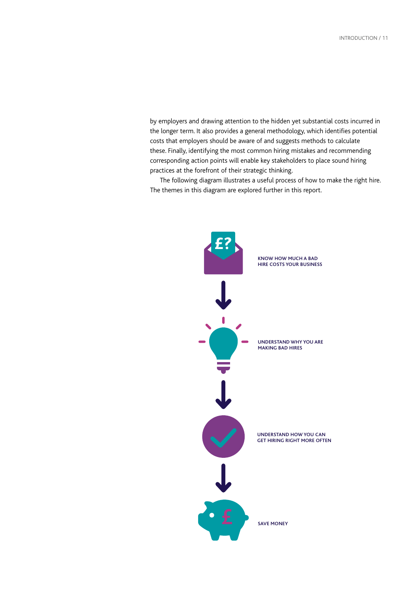by employers and drawing attention to the hidden yet substantial costs incurred in the longer term. It also provides a general methodology, which identifies potential costs that employers should be aware of and suggests methods to calculate these. Finally, identifying the most common hiring mistakes and recommending corresponding action points will enable key stakeholders to place sound hiring practices at the forefront of their strategic thinking.

The following diagram illustrates a useful process of how to make the right hire. The themes in this diagram are explored further in this report.

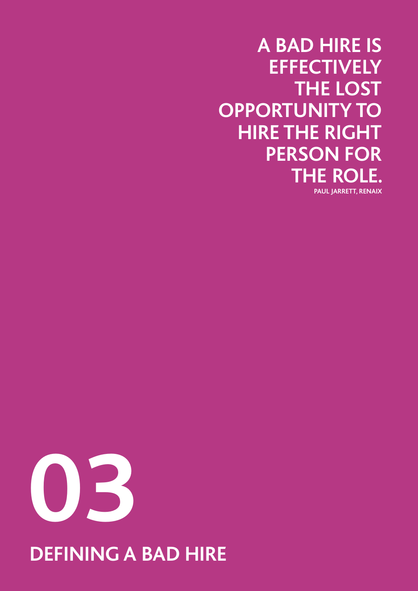<span id="page-11-0"></span>**A BAD HIRE IS EFFECTIVELY THE LOST OPPORTUNITY TO HIRE THE RIGHT PERSON FOR THE ROLE. PAUL JARRETT, RENAIX**

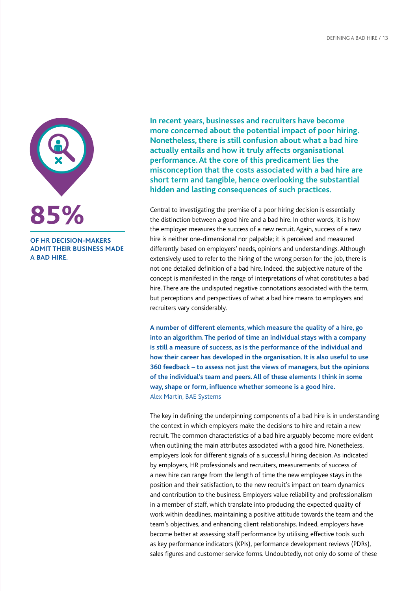

**OF HR DECISION-MAKERS ADMIT THEIR BUSINESS MADE A BAD HIRE.**

**In recent years, businesses and recruiters have become more concerned about the potential impact of poor hiring. Nonetheless, there is still confusion about what a bad hire actually entails and how it truly affects organisational performance. At the core of this predicament lies the misconception that the costs associated with a bad hire are short term and tangible, hence overlooking the substantial hidden and lasting consequences of such practices.** 

Central to investigating the premise of a poor hiring decision is essentially the distinction between a good hire and a bad hire. In other words, it is how the employer measures the success of a new recruit. Again, success of a new hire is neither one-dimensional nor palpable; it is perceived and measured differently based on employers' needs, opinions and understandings. Although extensively used to refer to the hiring of the wrong person for the job, there is not one detailed definition of a bad hire. Indeed, the subjective nature of the concept is manifested in the range of interpretations of what constitutes a bad hire. There are the undisputed negative connotations associated with the term, but perceptions and perspectives of what a bad hire means to employers and recruiters vary considerably.

**A number of different elements, which measure the quality of a hire, go into an algorithm. The period of time an individual stays with a company is still a measure of success, as is the performance of the individual and how their career has developed in the organisation. It is also useful to use 360 feedback – to assess not just the views of managers, but the opinions of the individual's team and peers. All of these elements I think in some way, shape or form, influence whether someone is a good hire.**  Alex Martin, BAE Systems

The key in defining the underpinning components of a bad hire is in understanding the context in which employers make the decisions to hire and retain a new recruit. The common characteristics of a bad hire arguably become more evident when outlining the main attributes associated with a good hire. Nonetheless, employers look for different signals of a successful hiring decision. As indicated by employers, HR professionals and recruiters, measurements of success of a new hire can range from the length of time the new employee stays in the position and their satisfaction, to the new recruit's impact on team dynamics and contribution to the business. Employers value reliability and professionalism in a member of staff, which translate into producing the expected quality of work within deadlines, maintaining a positive attitude towards the team and the team's objectives, and enhancing client relationships. Indeed, employers have become better at assessing staff performance by utilising effective tools such as key performance indicators (KPIs), performance development reviews (PDRs), sales figures and customer service forms. Undoubtedly, not only do some of these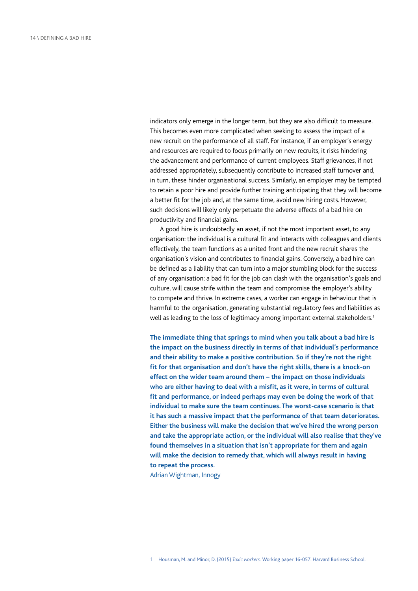indicators only emerge in the longer term, but they are also difficult to measure. This becomes even more complicated when seeking to assess the impact of a new recruit on the performance of all staff. For instance, if an employer's energy and resources are required to focus primarily on new recruits, it risks hindering the advancement and performance of current employees. Staff grievances, if not addressed appropriately, subsequently contribute to increased staff turnover and, in turn, these hinder organisational success. Similarly, an employer may be tempted to retain a poor hire and provide further training anticipating that they will become a better fit for the job and, at the same time, avoid new hiring costs. However, such decisions will likely only perpetuate the adverse effects of a bad hire on productivity and financial gains.

A good hire is undoubtedly an asset, if not the most important asset, to any organisation: the individual is a cultural fit and interacts with colleagues and clients effectively, the team functions as a united front and the new recruit shares the organisation's vision and contributes to financial gains. Conversely, a bad hire can be defined as a liability that can turn into a major stumbling block for the success of any organisation: a bad fit for the job can clash with the organisation's goals and culture, will cause strife within the team and compromise the employer's ability to compete and thrive. In extreme cases, a worker can engage in behaviour that is harmful to the organisation, generating substantial regulatory fees and liabilities as well as leading to the loss of legitimacy among important external stakeholders.<sup>1</sup>

**The immediate thing that springs to mind when you talk about a bad hire is the impact on the business directly in terms of that individual's performance and their ability to make a positive contribution. So if they're not the right fit for that organisation and don't have the right skills, there is a knock-on effect on the wider team around them – the impact on those individuals who are either having to deal with a misfit, as it were, in terms of cultural fit and performance, or indeed perhaps may even be doing the work of that individual to make sure the team continues. The worst-case scenario is that it has such a massive impact that the performance of that team deteriorates. Either the business will make the decision that we've hired the wrong person and take the appropriate action, or the individual will also realise that they've found themselves in a situation that isn't appropriate for them and again will make the decision to remedy that, which will always result in having to repeat the process.**

Adrian Wightman, Innogy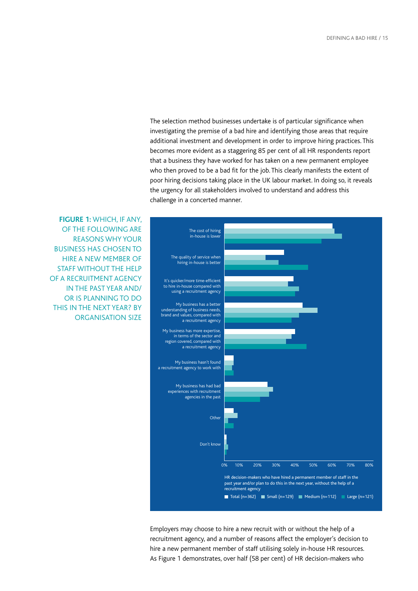The selection method businesses undertake is of particular significance when investigating the premise of a bad hire and identifying those areas that require additional investment and development in order to improve hiring practices. This becomes more evident as a staggering 85 per cent of all HR respondents report that a business they have worked for has taken on a new permanent employee who then proved to be a bad fit for the job. This clearly manifests the extent of poor hiring decisions taking place in the UK labour market. In doing so, it reveals the urgency for all stakeholders involved to understand and address this challenge in a concerted manner.



Employers may choose to hire a new recruit with or without the help of a recruitment agency, and a number of reasons affect the employer's decision to hire a new permanent member of staff utilising solely in-house HR resources. As Figure 1 demonstrates, over half (58 per cent) of HR decision-makers who

**FIGURE 1:** WHICH, IF ANY, OF THE FOLLOWING ARE REASONS WHY YOUR BUSINESS HAS CHOSEN TO HIRE A NEW MEMBER OF STAFF WITHOUT THE HELP OF A RECRUITMENT AGENCY IN THE PAST YEAR AND/ OR IS PLANNING TO DO THIS IN THE NEXT YEAR? BY ORGANISATION SIZE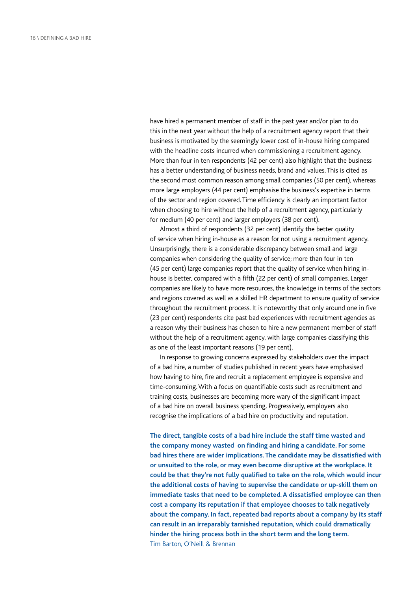have hired a permanent member of staff in the past year and/or plan to do this in the next year without the help of a recruitment agency report that their business is motivated by the seemingly lower cost of in-house hiring compared with the headline costs incurred when commissioning a recruitment agency. More than four in ten respondents (42 per cent) also highlight that the business has a better understanding of business needs, brand and values. This is cited as the second most common reason among small companies (50 per cent), whereas more large employers (44 per cent) emphasise the business's expertise in terms of the sector and region covered. Time efficiency is clearly an important factor when choosing to hire without the help of a recruitment agency, particularly for medium (40 per cent) and larger employers (38 per cent).

Almost a third of respondents (32 per cent) identify the better quality of service when hiring in-house as a reason for not using a recruitment agency. Unsurprisingly, there is a considerable discrepancy between small and large companies when considering the quality of service; more than four in ten (45 per cent) large companies report that the quality of service when hiring inhouse is better, compared with a fifth (22 per cent) of small companies. Larger companies are likely to have more resources, the knowledge in terms of the sectors and regions covered as well as a skilled HR department to ensure quality of service throughout the recruitment process. It is noteworthy that only around one in five (23 per cent) respondents cite past bad experiences with recruitment agencies as a reason why their business has chosen to hire a new permanent member of staff without the help of a recruitment agency, with large companies classifying this as one of the least important reasons (19 per cent).

In response to growing concerns expressed by stakeholders over the impact of a bad hire, a number of studies published in recent years have emphasised how having to hire, fire and recruit a replacement employee is expensive and time-consuming. With a focus on quantifiable costs such as recruitment and training costs, businesses are becoming more wary of the significant impact of a bad hire on overall business spending. Progressively, employers also recognise the implications of a bad hire on productivity and reputation.

**The direct, tangible costs of a bad hire include the staff time wasted and the company money wasted on finding and hiring a candidate. For some bad hires there are wider implications. The candidate may be dissatisfied with or unsuited to the role, or may even become disruptive at the workplace. It could be that they're not fully qualified to take on the role, which would incur the additional costs of having to supervise the candidate or up-skill them on immediate tasks that need to be completed. A dissatisfied employee can then cost a company its reputation if that employee chooses to talk negatively about the company. In fact, repeated bad reports about a company by its staff can result in an irreparably tarnished reputation, which could dramatically hinder the hiring process both in the short term and the long term.** Tim Barton, O'Neill & Brennan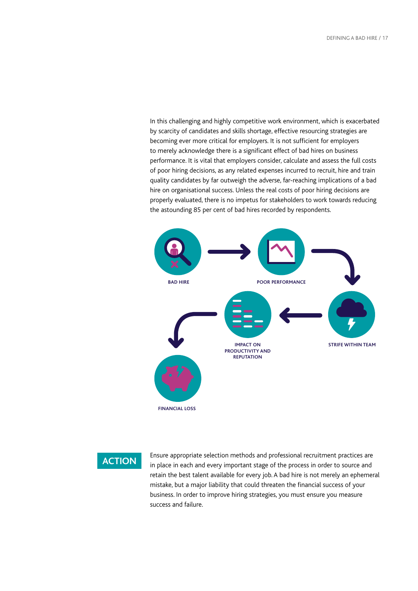In this challenging and highly competitive work environment, which is exacerbated by scarcity of candidates and skills shortage, effective resourcing strategies are becoming ever more critical for employers. It is not sufficient for employers to merely acknowledge there is a significant effect of bad hires on business performance. It is vital that employers consider, calculate and assess the full costs of poor hiring decisions, as any related expenses incurred to recruit, hire and train quality candidates by far outweigh the adverse, far-reaching implications of a bad hire on organisational success. Unless the real costs of poor hiring decisions are properly evaluated, there is no impetus for stakeholders to work towards reducing the astounding 85 per cent of bad hires recorded by respondents.



**ACTION**

Ensure appropriate selection methods and professional recruitment practices are in place in each and every important stage of the process in order to source and retain the best talent available for every job. A bad hire is not merely an ephemeral mistake, but a major liability that could threaten the financial success of your business. In order to improve hiring strategies, you must ensure you measure success and failure.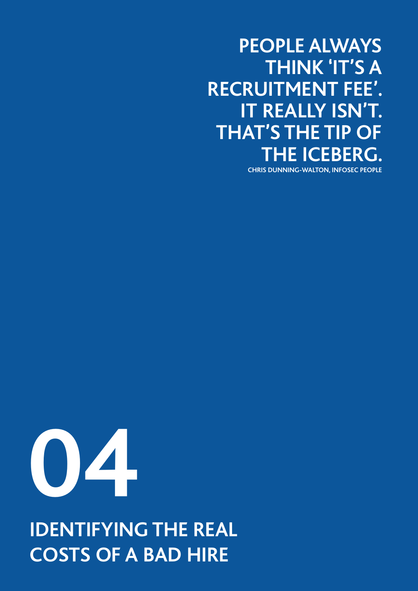## <span id="page-17-0"></span>**PEOPLE ALWAYS THINK 'IT'S A RECRUITMENT FEE'. IT REALLY ISN'T. THAT'S THE TIP OF THE ICEBERG.**

**CHRIS DUNNING-WALTON, INFOSEC PEOPLE**



**IDENTIFYING THE REAL COSTS OF A BAD HIRE**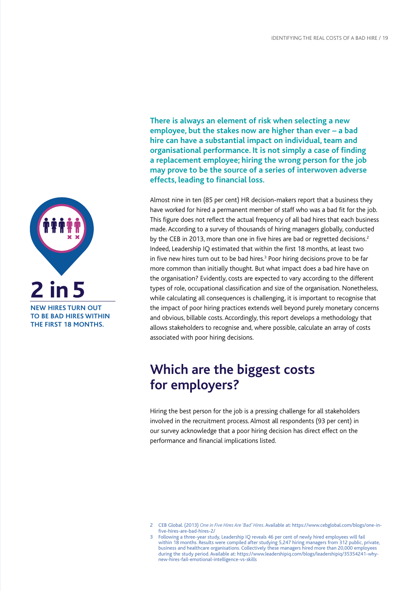

**TO BE BAD HIRES WITHIN THE FIRST 18 MONTHS.** 

**There is always an element of risk when selecting a new employee, but the stakes now are higher than ever – a bad hire can have a substantial impact on individual, team and organisational performance. It is not simply a case of finding a replacement employee; hiring the wrong person for the job may prove to be the source of a series of interwoven adverse effects, leading to financial loss.** 

Almost nine in ten (85 per cent) HR decision-makers report that a business they have worked for hired a permanent member of staff who was a bad fit for the job. This figure does not reflect the actual frequency of all bad hires that each business made. According to a survey of thousands of hiring managers globally, conducted by the CEB in 2013, more than one in five hires are bad or regretted decisions.<sup>2</sup> Indeed, Leadership IQ estimated that within the first 18 months, at least two in five new hires turn out to be bad hires.<sup>3</sup> Poor hiring decisions prove to be far more common than initially thought. But what impact does a bad hire have on the organisation? Evidently, costs are expected to vary according to the different types of role, occupational classification and size of the organisation. Nonetheless, while calculating all consequences is challenging, it is important to recognise that the impact of poor hiring practices extends well beyond purely monetary concerns and obvious, billable costs. Accordingly, this report develops a methodology that allows stakeholders to recognise and, where possible, calculate an array of costs associated with poor hiring decisions.

## **Which are the biggest costs for employers?**

Hiring the best person for the job is a pressing challenge for all stakeholders involved in the recruitment process. Almost all respondents (93 per cent) in our survey acknowledge that a poor hiring decision has direct effect on the performance and financial implications listed.

<sup>2</sup> CEB Global. (2013) *One in Five Hires Are 'Bad' Hires*.Available at: https://www.cebglobal.com/blogs/one-infive-hires-are-bad-hires-2/

<sup>3</sup> Following a three-year study, Leadership IQ reveals 46 per cent of newly hired employees will fail within 18 months. Results were compiled after studying 5,247 hiring managers from 312 public, private, business and healthcare organisations. Collectively these managers hired more than 20,000 employees during the study period.Available at: https://www.leadershipiq.com/blogs/leadershipiq/35354241-whynew-hires-fail-emotional-intelligence-vs-skills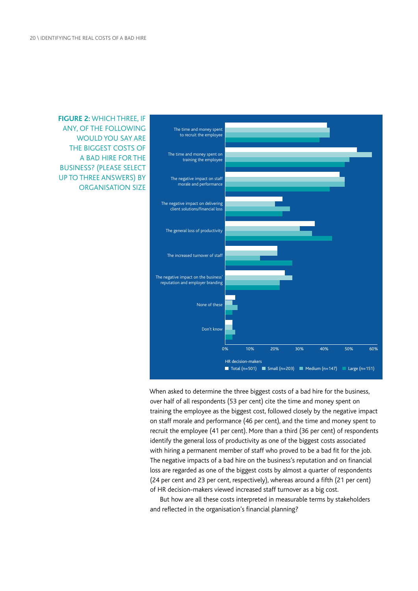

**FIGURE 2:** WHICH THREE, IF ANY, OF THE FOLLOWING WOULD YOU SAY ARE THE BIGGEST COSTS OF A BAD HIRE FOR THE BUSINESS? (PLEASE SELECT UP TO THREE ANSWERS) BY ORGANISATION SIZE

> When asked to determine the three biggest costs of a bad hire for the business, over half of all respondents (53 per cent) cite the time and money spent on training the employee as the biggest cost, followed closely by the negative impact on staff morale and performance (46 per cent), and the time and money spent to recruit the employee (41 per cent). More than a third (36 per cent) of respondents identify the general loss of productivity as one of the biggest costs associated with hiring a permanent member of staff who proved to be a bad fit for the job. The negative impacts of a bad hire on the business's reputation and on financial loss are regarded as one of the biggest costs by almost a quarter of respondents (24 per cent and 23 per cent, respectively), whereas around a fifth (21 per cent) of HR decision-makers viewed increased staff turnover as a big cost.

But how are all these costs interpreted in measurable terms by stakeholders and reflected in the organisation's financial planning?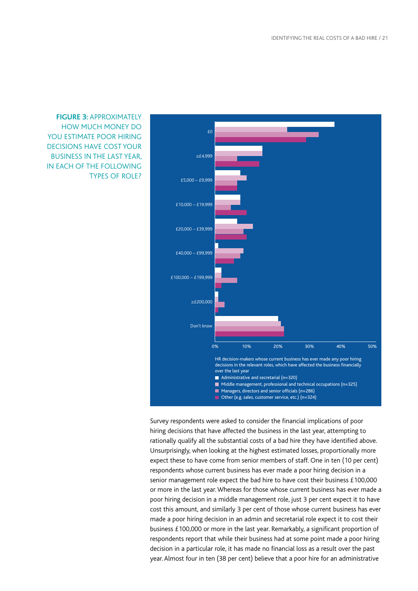

Survey respondents were asked to consider the financial implications of poor hiring decisions that have affected the business in the last year, attempting to rationally qualify all the substantial costs of a bad hire they have identified above. Unsurprisingly, when looking at the highest estimated losses, proportionally more expect these to have come from senior members of staff. One in ten (10 per cent) respondents whose current business has ever made a poor hiring decision in a senior management role expect the bad hire to have cost their business £100,000 or more in the last year. Whereas for those whose current business has ever made a poor hiring decision in a middle management role, just 3 per cent expect it to have cost this amount, and similarly 3 per cent of those whose current business has ever made a poor hiring decision in an admin and secretarial role expect it to cost their business £100,000 or more in the last year. Remarkably, a significant proportion of respondents report that while their business had at some point made a poor hiring decision in a particular role, it has made no financial loss as a result over the past year. Almost four in ten (38 per cent) believe that a poor hire for an administrative

**FIGURE 3:** APPROXIMATELY HOW MUCH MONEY DO YOU ESTIMATE POOR HIRING DECISIONS HAVE COST YOUR BUSINESS IN THE LAST YEAR, IN EACH OF THE FOLLOWING TYPES OF ROLE?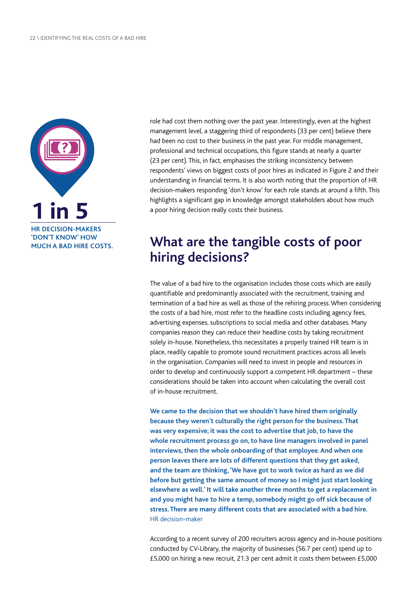

role had cost them nothing over the past year. Interestingly, even at the highest management level, a staggering third of respondents (33 per cent) believe there had been no cost to their business in the past year. For middle management, professional and technical occupations, this figure stands at nearly a quarter (23 per cent). This, in fact, emphasises the striking inconsistency between respondents' views on biggest costs of poor hires as indicated in Figure 2 and their understanding in financial terms. It is also worth noting that the proportion of HR decision-makers responding 'don't know' for each role stands at around a fifth. This highlights a significant gap in knowledge amongst stakeholders about how much a poor hiring decision really costs their business.

## **What are the tangible costs of poor hiring decisions?**

The value of a bad hire to the organisation includes those costs which are easily quantifiable and predominantly associated with the recruitment, training and termination of a bad hire as well as those of the rehiring process. When considering the costs of a bad hire, most refer to the headline costs including agency fees, advertising expenses, subscriptions to social media and other databases. Many companies reason they can reduce their headline costs by taking recruitment solely in-house. Nonetheless, this necessitates a properly trained HR team is in place, readily capable to promote sound recruitment practices across all levels in the organisation. Companies will need to invest in people and resources in order to develop and continuously support a competent HR department – these considerations should be taken into account when calculating the overall cost of in-house recruitment.

**We came to the decision that we shouldn't have hired them originally because they weren't culturally the right person for the business. That was very expensive; it was the cost to advertise that job, to have the whole recruitment process go on, to have line managers involved in panel interviews, then the whole onboarding of that employee. And when one person leaves there are lots of different questions that they get asked, and the team are thinking, 'We have got to work twice as hard as we did before but getting the same amount of money so I might just start looking elsewhere as well.' It will take another three months to get a replacement in and you might have to hire a temp, somebody might go off sick because of stress. There are many different costs that are associated with a bad hire.** HR decision-maker

According to a recent survey of 200 recruiters across agency and in-house positions conducted by CV-Library, the majority of businesses (56.7 per cent) spend up to £5,000 on hiring a new recruit, 21.3 per cent admit it costs them between £5,000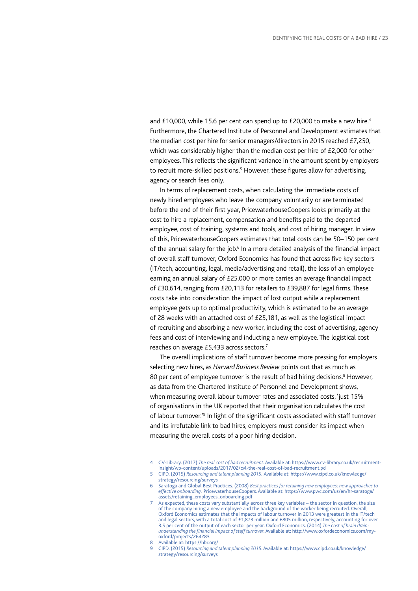and  $£10,000$ , while 15.6 per cent can spend up to  $£20,000$  to make a new hire.<sup>4</sup> Furthermore, the Chartered Institute of Personnel and Development estimates that the median cost per hire for senior managers/directors in 2015 reached £7,250, which was considerably higher than the median cost per hire of £2,000 for other employees. This reflects the significant variance in the amount spent by employers to recruit more-skilled positions.<sup>5</sup> However, these figures allow for advertising, agency or search fees only.

In terms of replacement costs, when calculating the immediate costs of newly hired employees who leave the company voluntarily or are terminated before the end of their first year, PricewaterhouseCoopers looks primarily at the cost to hire a replacement, compensation and benefits paid to the departed employee, cost of training, systems and tools, and cost of hiring manager. In view of this, PricewaterhouseCoopers estimates that total costs can be 50–150 per cent of the annual salary for the job.<sup>6</sup> In a more detailed analysis of the financial impact of overall staff turnover, Oxford Economics has found that across five key sectors (IT/tech, accounting, legal, media/advertising and retail), the loss of an employee earning an annual salary of £25,000 or more carries an average financial impact of £30,614, ranging from £20,113 for retailers to £39,887 for legal firms. These costs take into consideration the impact of lost output while a replacement employee gets up to optimal productivity, which is estimated to be an average of 28 weeks with an attached cost of £25,181, as well as the logistical impact of recruiting and absorbing a new worker, including the cost of advertising, agency fees and cost of interviewing and inducting a new employee. The logistical cost reaches on average £5,433 across sectors.<sup>7</sup>

The overall implications of staff turnover become more pressing for employers selecting new hires, as *Harvard Business Review* points out that as much as 80 per cent of employee turnover is the result of bad hiring decisions.<sup>8</sup> However, as data from the Chartered Institute of Personnel and Development shows, when measuring overall labour turnover rates and associated costs, 'just 15% of organisations in the UK reported that their organisation calculates the cost of labour turnover.<sup>19</sup> In light of the significant costs associated with staff turnover and its irrefutable link to bad hires, employers must consider its impact when measuring the overall costs of a poor hiring decision.

- 4 CV-Library. (2017) *The real cost of bad recruitment*.Available at: https://www.cv-library.co.uk/recruitmentinsight/wp-content/uploads/2017/02/cvl-the-real-cost-of-bad-recruitment.pd
- 5 CIPD. (2015) *Resourcing and talent planning 2015.* Available at: https://www.cipd.co.uk/knowledge/ strategy/resourcing/surveys
- 6 Saratoga and Global Best Practices. (2008) *Best practices for retaining new employees: new approaches to effective onboarding.* PricewaterhouseCoopers.Available at: https://www.pwc.com/us/en/hr-saratoga/ assets/retaining\_employees\_onboarding.pdf
- 7 As expected, these costs vary substantially across three key variables the sector in question, the size of the company hiring a new employee and the background of the worker being recruited. Overall, Oxford Economics estimates that the impacts of labour turnover in 2013 were greatest in the IT/tech and legal sectors, with a total cost of £1,873 million and £805 million, respectively, accounting for over 3.5 per cent of the output of each sector per year. Oxford Economics. (2014) *The cost of brain drain: understanding the financial impact of staff turnover*.Available at: http://www.oxfordeconomics.com/myoxford/projects/264283
- 8 Available at: https://hbr.org/
- 9 CIPD. (2015) *Resourcing and talent planning 2015*.Available at: https://www.cipd.co.uk/knowledge/ strategy/resourcing/surveys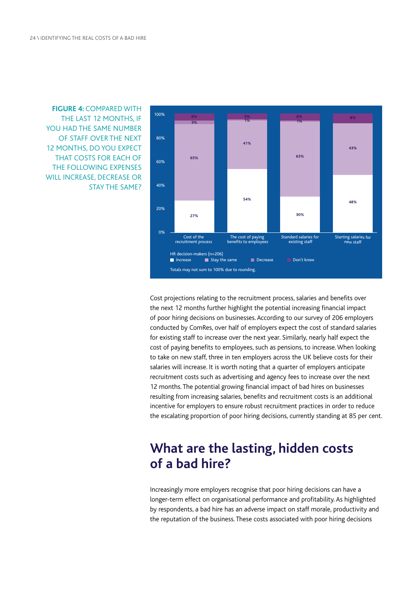**FIGURE 4:** COMPARED WITH THE LAST 12 MONTHS, IF YOU HAD THE SAME NUMBER OF STAFF OVER THE NEXT 12 MONTHS, DO YOU EXPECT THAT COSTS FOR EACH OF THE FOLLOWING EXPENSES WILL INCREASE, DECREASE OR STAY THE SAME?



Cost projections relating to the recruitment process, salaries and benefits over the next 12 months further highlight the potential increasing financial impact of poor hiring decisions on businesses. According to our survey of 206 employers conducted by ComRes, over half of employers expect the cost of standard salaries for existing staff to increase over the next year. Similarly, nearly half expect the cost of paying benefits to employees, such as pensions, to increase. When looking to take on new staff, three in ten employers across the UK believe costs for their salaries will increase. It is worth noting that a quarter of employers anticipate recruitment costs such as advertising and agency fees to increase over the next 12 months. The potential growing financial impact of bad hires on businesses resulting from increasing salaries, benefits and recruitment costs is an additional incentive for employers to ensure robust recruitment practices in order to reduce the escalating proportion of poor hiring decisions, currently standing at 85 per cent.

## **What are the lasting, hidden costs of a bad hire?**

Increasingly more employers recognise that poor hiring decisions can have a longer-term effect on organisational performance and profitability. As highlighted by respondents, a bad hire has an adverse impact on staff morale, productivity and the reputation of the business. These costs associated with poor hiring decisions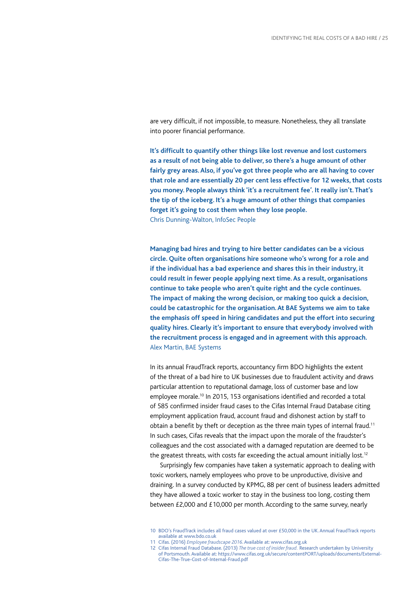are very difficult, if not impossible, to measure. Nonetheless, they all translate into poorer financial performance.

**It's difficult to quantify other things like lost revenue and lost customers as a result of not being able to deliver, so there's a huge amount of other fairly grey areas. Also, if you've got three people who are all having to cover that role and are essentially 20 per cent less effective for 12 weeks, that costs you money. People always think 'it's a recruitment fee'. It really isn't. That's the tip of the iceberg. It's a huge amount of other things that companies forget it's going to cost them when they lose people.** Chris Dunning-Walton, InfoSec People

**Managing bad hires and trying to hire better candidates can be a vicious circle. Quite often organisations hire someone who's wrong for a role and if the individual has a bad experience and shares this in their industry, it could result in fewer people applying next time. As a result, organisations continue to take people who aren't quite right and the cycle continues. The impact of making the wrong decision, or making too quick a decision, could be catastrophic for the organisation. At BAE Systems we aim to take the emphasis off speed in hiring candidates and put the effort into securing quality hires. Clearly it's important to ensure that everybody involved with the recruitment process is engaged and in agreement with this approach.** Alex Martin, BAE Systems

In its annual FraudTrack reports, accountancy firm BDO highlights the extent of the threat of a bad hire to UK businesses due to fraudulent activity and draws particular attention to reputational damage, loss of customer base and low employee morale.<sup>10</sup> In 2015, 153 organisations identified and recorded a total of 585 confirmed insider fraud cases to the Cifas Internal Fraud Database citing employment application fraud, account fraud and dishonest action by staff to obtain a benefit by theft or deception as the three main types of internal fraud.<sup>11</sup> In such cases, Cifas reveals that the impact upon the morale of the fraudster's colleagues and the cost associated with a damaged reputation are deemed to be the greatest threats, with costs far exceeding the actual amount initially lost.<sup>12</sup>

Surprisingly few companies have taken a systematic approach to dealing with toxic workers, namely employees who prove to be unproductive, divisive and draining. In a survey conducted by KPMG, 88 per cent of business leaders admitted they have allowed a toxic worker to stay in the business too long, costing them between £2,000 and £10,000 per month. According to the same survey, nearly

11 Cifas. (2016) *Employee fraudscape 2016*.Available at: www.cifas.org.uk

<sup>10</sup> BDO's FraudTrack includes all fraud cases valued at over £50,000 in the UK. Annual FraudTrack reports available at www.bdo.co.uk

<sup>12</sup> Cifas Internal Fraud Database. (2013) *The true cost of insider fraud.* Research undertaken by University of Portsmouth.Available at: https://www.cifas.org.uk/secure/contentPORT/uploads/documents/External-Cifas-The-True-Cost-of-Internal-Fraud.pdf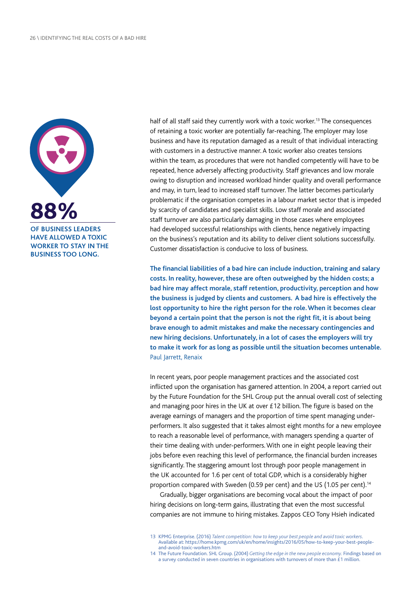

**HAVE ALLOWED A TOXIC WORKER TO STAY IN THE BUSINESS TOO LONG.**

half of all staff said they currently work with a toxic worker.<sup>13</sup> The consequences of retaining a toxic worker are potentially far-reaching. The employer may lose business and have its reputation damaged as a result of that individual interacting with customers in a destructive manner. A toxic worker also creates tensions within the team, as procedures that were not handled competently will have to be repeated, hence adversely affecting productivity. Staff grievances and low morale owing to disruption and increased workload hinder quality and overall performance and may, in turn, lead to increased staff turnover. The latter becomes particularly problematic if the organisation competes in a labour market sector that is impeded by scarcity of candidates and specialist skills. Low staff morale and associated staff turnover are also particularly damaging in those cases where employees had developed successful relationships with clients, hence negatively impacting on the business's reputation and its ability to deliver client solutions successfully. Customer dissatisfaction is conducive to loss of business.

**The financial liabilities of a bad hire can include induction, training and salary costs. In reality, however, these are often outweighed by the hidden costs; a bad hire may affect morale, staff retention, productivity, perception and how the business is judged by clients and customers. A bad hire is effectively the lost opportunity to hire the right person for the role. When it becomes clear beyond a certain point that the person is not the right fit, it is about being brave enough to admit mistakes and make the necessary contingencies and new hiring decisions. Unfortunately, in a lot of cases the employers will try to make it work for as long as possible until the situation becomes untenable.** Paul Jarrett, Renaix

In recent years, poor people management practices and the associated cost inflicted upon the organisation has garnered attention. In 2004, a report carried out by the Future Foundation for the SHL Group put the annual overall cost of selecting and managing poor hires in the UK at over £12 billion. The figure is based on the average earnings of managers and the proportion of time spent managing underperformers. It also suggested that it takes almost eight months for a new employee to reach a reasonable level of performance, with managers spending a quarter of their time dealing with under-performers. With one in eight people leaving their jobs before even reaching this level of performance, the financial burden increases significantly. The staggering amount lost through poor people management in the UK accounted for 1.6 per cent of total GDP, which is a considerably higher proportion compared with Sweden (0.59 per cent) and the US (1.05 per cent).14

Gradually, bigger organisations are becoming vocal about the impact of poor hiring decisions on long-term gains, illustrating that even the most successful companies are not immune to hiring mistakes. Zappos CEO Tony Hsieh indicated

<sup>13</sup> KPMG Enterprise. (2016) *Talent competition: how to keep your best people and avoid toxic workers*. Available at: https://home.kpmg.com/uk/en/home/insights/2016/05/how-to-keep-your-best-peopleand-avoid-toxic-workers.htm

<sup>14</sup> The Future Foundation. SHL Group. (2004) Getting the edge in the new people economy. Findings based on a survey conducted in seven countries in organisations with turnovers of more than £1 million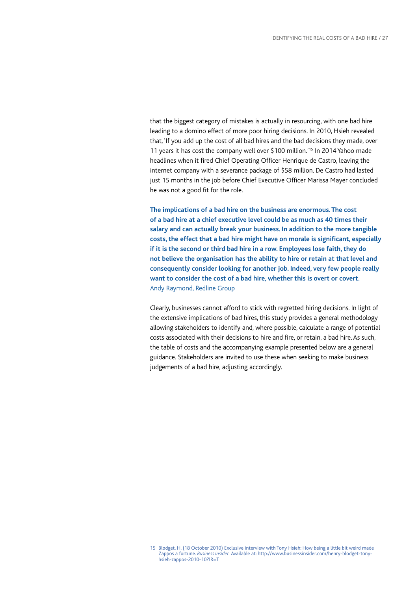that the biggest category of mistakes is actually in resourcing, with one bad hire leading to a domino effect of more poor hiring decisions. In 2010, Hsieh revealed that, 'If you add up the cost of all bad hires and the bad decisions they made, over 11 years it has cost the company well over \$100 million.'15 In 2014 Yahoo made headlines when it fired Chief Operating Officer Henrique de Castro, leaving the internet company with a severance package of \$58 million. De Castro had lasted just 15 months in the job before Chief Executive Officer Marissa Mayer concluded he was not a good fit for the role.

**The implications of a bad hire on the business are enormous. The cost of a bad hire at a chief executive level could be as much as 40 times their salary and can actually break your business. In addition to the more tangible costs, the effect that a bad hire might have on morale is significant, especially if it is the second or third bad hire in a row. Employees lose faith, they do not believe the organisation has the ability to hire or retain at that level and consequently consider looking for another job. Indeed, very few people really want to consider the cost of a bad hire, whether this is overt or covert.** Andy Raymond, Redline Group

Clearly, businesses cannot afford to stick with regretted hiring decisions. In light of the extensive implications of bad hires, this study provides a general methodology allowing stakeholders to identify and, where possible, calculate a range of potential costs associated with their decisions to hire and fire, or retain, a bad hire. As such, the table of costs and the accompanying example presented below are a general guidance. Stakeholders are invited to use these when seeking to make business judgements of a bad hire, adjusting accordingly.

<sup>15</sup> Blodget, H. (18 October 2010) Exclusive interview with Tony Hsieh: How being a little bit weird made Zappos a fortune. *Business Insider.* Available at: http://www.businessinsider.com/henry-blodget-tonyhsieh-zappos-2010-10?IR=T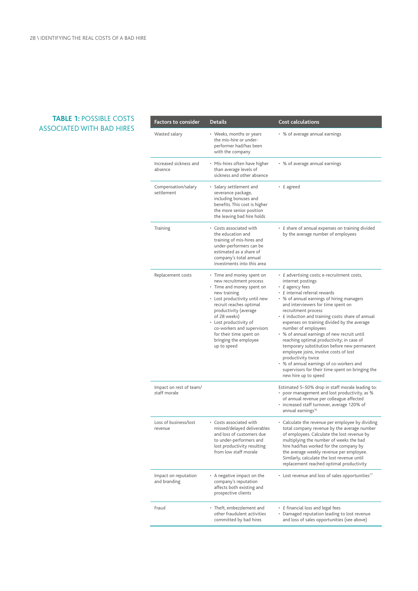#### **TABLE 1: POSSIBLE COSTS** ASSOCIATED WITH BAD HIRES

| <b>Factors to consider</b>              | <b>Details</b>                                                                                                                                                                                                                                                                                                                    | <b>Cost calculations</b>                                                                                                                                                                                                                                                                                                                                                                                                                                                                                                                                                                                                                                                                           |
|-----------------------------------------|-----------------------------------------------------------------------------------------------------------------------------------------------------------------------------------------------------------------------------------------------------------------------------------------------------------------------------------|----------------------------------------------------------------------------------------------------------------------------------------------------------------------------------------------------------------------------------------------------------------------------------------------------------------------------------------------------------------------------------------------------------------------------------------------------------------------------------------------------------------------------------------------------------------------------------------------------------------------------------------------------------------------------------------------------|
| Wasted salary                           | • Weeks, months or years<br>the mis-hire or under-<br>performer had/has been<br>with the company                                                                                                                                                                                                                                  | • % of average annual earnings                                                                                                                                                                                                                                                                                                                                                                                                                                                                                                                                                                                                                                                                     |
| Increased sickness and<br>absence       | • Mis-hires often have higher<br>than average levels of<br>sickness and other absence                                                                                                                                                                                                                                             | • % of average annual earnings                                                                                                                                                                                                                                                                                                                                                                                                                                                                                                                                                                                                                                                                     |
| Compensation/salary<br>settlement       | • Salary settlement and<br>severance package,<br>including bonuses and<br>benefits. This cost is higher<br>the more senior position<br>the leaving bad hire holds                                                                                                                                                                 | • £ agreed                                                                                                                                                                                                                                                                                                                                                                                                                                                                                                                                                                                                                                                                                         |
| Training                                | • Costs associated with<br>the education and<br>training of mis-hires and<br>under-performers can be<br>estimated as a share of<br>company's total annual<br>investments into this area                                                                                                                                           | • £ share of annual expenses on training divided<br>by the average number of employees                                                                                                                                                                                                                                                                                                                                                                                                                                                                                                                                                                                                             |
| Replacement costs                       | • Time and money spent on<br>new recruitment process<br>• Time and money spent on<br>new training<br>• Lost productivity until new<br>recruit reaches optimal<br>productivity (average<br>of 28 weeks)<br>• Lost productivity of<br>co-workers and supervisors<br>for their time spent on<br>bringing the employee<br>up to speed | • <i>E</i> advertising costs; e-recruitment costs,<br>internet postings<br>• £ agency fees<br>• £ internal referral rewards<br>• % of annual earnings of hiring managers<br>and interviewers for time spent on<br>recruitment process<br>• £ induction and training costs: share of annual<br>expenses on training divided by the average<br>number of employees<br>• % of annual earnings of new recruit until<br>reaching optimal productivity; in case of<br>temporary substitution before new permanent<br>employee joins, involve costs of lost<br>productivity twice<br>• % of annual earnings of co-workers and<br>supervisors for their time spent on bringing the<br>new hire up to speed |
| Impact on rest of team/<br>staff morale |                                                                                                                                                                                                                                                                                                                                   | Estimated 5–50% drop in staff morale leading to:<br>• poor management and lost productivity, as %<br>of annual revenue per colleague affected<br>· increased staff turnover, average 120% of<br>annual earnings <sup>16</sup>                                                                                                                                                                                                                                                                                                                                                                                                                                                                      |
| Loss of business/lost<br>revenue        | • Costs associated with<br>missed/delayed deliverables<br>and loss of customers due<br>to under-performers and<br>lost productivity resulting<br>from low staff morale                                                                                                                                                            | • Calculate the revenue per employee by dividing<br>total company revenue by the average number<br>of employees. Calculate the lost revenue by<br>multiplying the number of weeks the bad<br>hire had/has worked for the company by<br>the average weekly revenue per employee.<br>Similarly, calculate the lost revenue until<br>replacement reached optimal productivity                                                                                                                                                                                                                                                                                                                         |
| Impact on reputation<br>and branding    | • A negative impact on the<br>company's reputation<br>affects both existing and<br>prospective clients                                                                                                                                                                                                                            | • Lost revenue and loss of sales opportunities <sup>17</sup>                                                                                                                                                                                                                                                                                                                                                                                                                                                                                                                                                                                                                                       |
| Fraud                                   | • Theft, embezzlement and<br>other fraudulent activities<br>committed by bad hires                                                                                                                                                                                                                                                | • £ financial loss and legal fees<br>• Damaged reputation leading to lost revenue<br>and loss of sales opportunities (see above)                                                                                                                                                                                                                                                                                                                                                                                                                                                                                                                                                                   |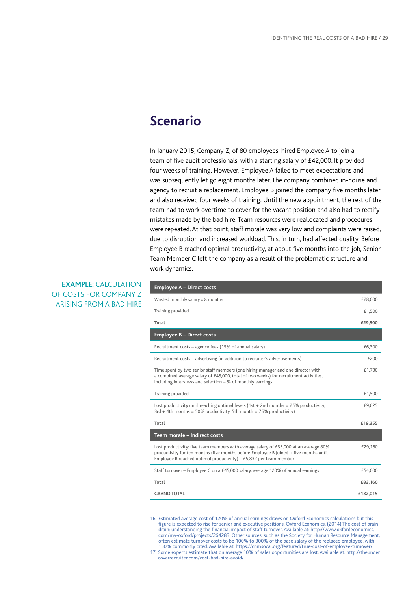### **Scenario**

In January 2015, Company Z, of 80 employees, hired Employee A to join a team of five audit professionals, with a starting salary of £42,000. It provided four weeks of training. However, Employee A failed to meet expectations and was subsequently let go eight months later. The company combined in-house and agency to recruit a replacement. Employee B joined the company five months later and also received four weeks of training. Until the new appointment, the rest of the team had to work overtime to cover for the vacant position and also had to rectify mistakes made by the bad hire. Team resources were reallocated and procedures were repeated. At that point, staff morale was very low and complaints were raised, due to disruption and increased workload. This, in turn, had affected quality. Before Employee B reached optimal productivity, at about five months into the job, Senior Team Member C left the company as a result of the problematic structure and work dynamics.

#### **EXAMPLE:** CALCULATION OF COSTS FOR COMPANY Z ARISING FROM A BAD HIRE

| <b>Employee A - Direct costs</b>                                                                                                                                                                                                                      |          |
|-------------------------------------------------------------------------------------------------------------------------------------------------------------------------------------------------------------------------------------------------------|----------|
| Wasted monthly salary x 8 months                                                                                                                                                                                                                      | £28,000  |
| Training provided                                                                                                                                                                                                                                     | £1,500   |
| Total                                                                                                                                                                                                                                                 | £29,500  |
| Employee B - Direct costs                                                                                                                                                                                                                             |          |
| Recruitment costs - agency fees (15% of annual salary)                                                                                                                                                                                                | £6.300   |
| Recruitment costs - advertising (in addition to recruiter's advertisements)                                                                                                                                                                           | £200     |
| Time spent by two senior staff members (one hiring manager and one director with<br>a combined average salary of £45,000, total of two weeks) for recruitment activities,<br>including interviews and selection - % of monthly earnings               | £1,730   |
| Training provided                                                                                                                                                                                                                                     | £1,500   |
| Lost productivity until reaching optimal levels (1st + 2nd months = $25\%$ productivity,<br>$3rd + 4th$ months = 50% productivity, 5th month = 75% productivity)                                                                                      | £9,625   |
| Total                                                                                                                                                                                                                                                 | £19,355  |
| Team morale - Indirect costs                                                                                                                                                                                                                          |          |
| Lost productivity: five team members with average salary of £35,000 at an average 80%<br>productivity for ten months (five months before Employee B joined + five months until<br>Employee B reached optimal productivity) $-$ £5,832 per team member | £29.160  |
| Staff turnover – Employee C on a £45,000 salary, average 120% of annual earnings                                                                                                                                                                      | £54,000  |
| Total                                                                                                                                                                                                                                                 | £83,160  |
| <b>GRAND TOTAL</b>                                                                                                                                                                                                                                    | £132,015 |

- 16 Estimated average cost of 120% of annual earnings draws on Oxford Economics calculations but this figure is expected to rise for senior and executive positions. Oxford Economics. (2014) The cost of brain drain: understanding the financial impact of staff turnover. Available at: http://www.oxfordeconomics. com/my-oxford/projects/264283. Other sources, such as the Society for Human Resource Management, often estimate turnover costs to be 100% to 300% of the base salary of the replaced employee, with 150% commonly cited.Available at: https://cnmsocal.org/featured/true-cost-of-employee-turnover/
- 17 Some experts estimate that on average 10% of sales opportunities are lost.Available at: http://theunder coverrecruiter.com/cost-bad-hire-avoid/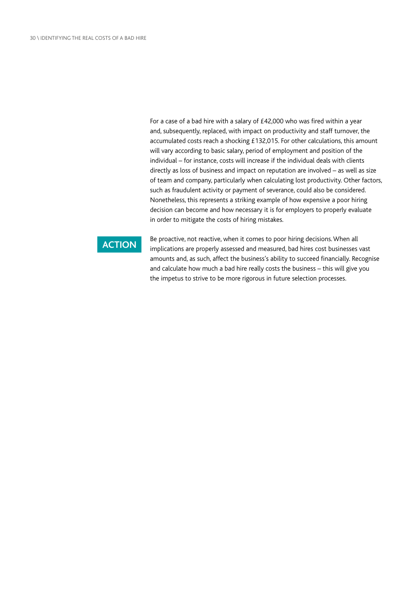For a case of a bad hire with a salary of £42,000 who was fired within a year and, subsequently, replaced, with impact on productivity and staff turnover, the accumulated costs reach a shocking £132,015. For other calculations, this amount will vary according to basic salary, period of employment and position of the individual – for instance, costs will increase if the individual deals with clients directly as loss of business and impact on reputation are involved – as well as size of team and company, particularly when calculating lost productivity. Other factors, such as fraudulent activity or payment of severance, could also be considered. Nonetheless, this represents a striking example of how expensive a poor hiring decision can become and how necessary it is for employers to properly evaluate in order to mitigate the costs of hiring mistakes.

#### **ACTION**

Be proactive, not reactive, when it comes to poor hiring decisions. When all implications are properly assessed and measured, bad hires cost businesses vast amounts and, as such, affect the business's ability to succeed financially. Recognise and calculate how much a bad hire really costs the business – this will give you the impetus to strive to be more rigorous in future selection processes.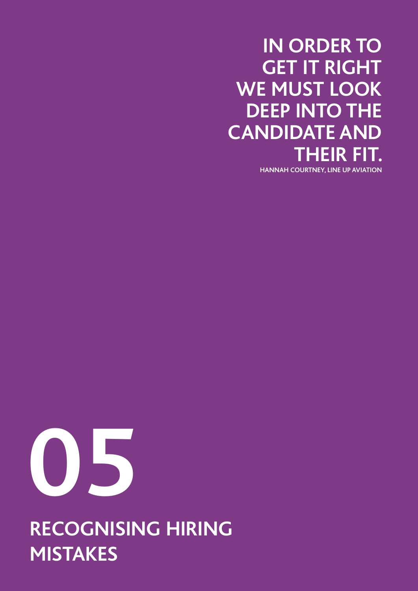<span id="page-30-0"></span>**IN ORDER TO GET IT RIGHT WE MUST LOOK DEEP INTO THE CANDIDATE AND THEIR FIT.**

**HANNAH COURTNEY, LINE UP AVIATION**



**RECOGNISING HIRING MISTAKES**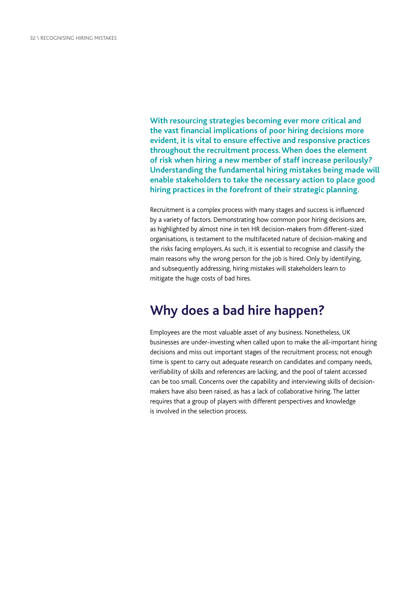**With resourcing strategies becoming ever more critical and the vast financial implications of poor hiring decisions more evident, it is vital to ensure effective and responsive practices throughout the recruitment process. When does the element of risk when hiring a new member of staff increase perilously? Understanding the fundamental hiring mistakes being made will enable stakeholders to take the necessary action to place good hiring practices in the forefront of their strategic planning.** 

Recruitment is a complex process with many stages and success is influenced by a variety of factors. Demonstrating how common poor hiring decisions are, as highlighted by almost nine in ten HR decision-makers from different-sized organisations, is testament to the multifaceted nature of decision-making and the risks facing employers. As such, it is essential to recognise and classify the main reasons why the wrong person for the job is hired. Only by identifying, and subsequently addressing, hiring mistakes will stakeholders learn to mitigate the huge costs of bad hires.

## **Why does a bad hire happen?**

Employees are the most valuable asset of any business. Nonetheless, UK businesses are under-investing when called upon to make the all-important hiring decisions and miss out important stages of the recruitment process; not enough time is spent to carry out adequate research on candidates and company needs, verifiability of skills and references are lacking, and the pool of talent accessed can be too small. Concerns over the capability and interviewing skills of decisionmakers have also been raised, as has a lack of collaborative hiring. The latter requires that a group of players with different perspectives and knowledge is involved in the selection process.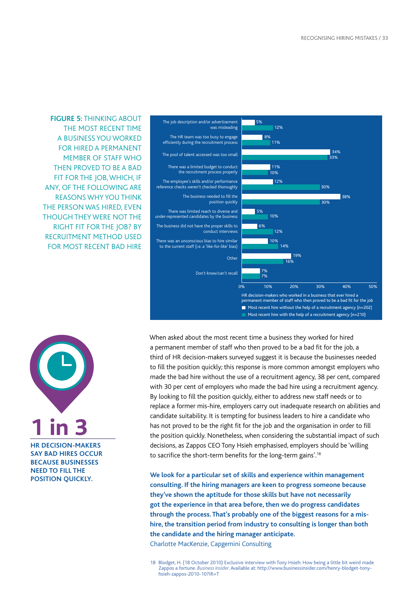



When asked about the most recent time a business they worked for hired a permanent member of staff who then proved to be a bad fit for the job, a third of HR decision-makers surveyed suggest it is because the businesses needed to fill the position quickly; this response is more common amongst employers who made the bad hire without the use of a recruitment agency, 38 per cent, compared with 30 per cent of employers who made the bad hire using a recruitment agency. By looking to fill the position quickly, either to address new staff needs or to replace a former mis-hire, employers carry out inadequate research on abilities and candidate suitability. It is tempting for business leaders to hire a candidate who has not proved to be the right fit for the job and the organisation in order to fill the position quickly. Nonetheless, when considering the substantial impact of such decisions, as Zappos CEO Tony Hsieh emphasised, employers should be 'willing to sacrifice the short-term benefits for the long-term gains'.18

**We look for a particular set of skills and experience within management consulting. If the hiring managers are keen to progress someone because they've shown the aptitude for those skills but have not necessarily got the experience in that area before, then we do progress candidates through the process. That's probably one of the biggest reasons for a mis**hire, the transition period from industry to consulting is longer than both **the candidate and the hiring manager anticipate.** 

Charlotte MacKenzie, Capgemini Consulting

18 Blodget, H. (18 October 2010) Exclusive interview with Tony Hsieh: How being a little bit weird made Zappos a fortune. *Business Insider*.Available at: http://www.businessinsider.com/henry-blodget-tonyhsieh-zappos-2010-10?IR=T

**HR DECISION-MAKERS SAY BAD HIRES OCCUR BECAUSE BUSINESSES 1 in 3**

**NEED TO FILL THE POSITION QUICKLY.**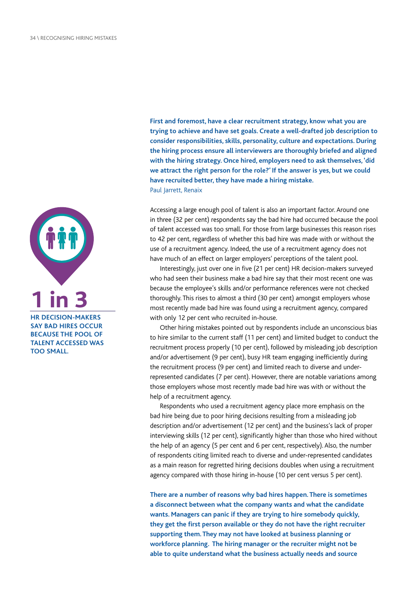

**SAY BAD HIRES OCCUR BECAUSE THE POOL OF TALENT ACCESSED WAS TOO SMALL.**

**First and foremost, have a clear recruitment strategy, know what you are trying to achieve and have set goals. Create a well-drafted job description to consider responsibilities, skills, personality, culture and expectations. During the hiring process ensure all interviewers are thoroughly briefed and aligned with the hiring strategy. Once hired, employers need to ask themselves, 'did we attract the right person for the role?' If the answer is yes, but we could have recruited better, they have made a hiring mistake.** Paul Jarrett, Renaix

Accessing a large enough pool of talent is also an important factor. Around one in three (32 per cent) respondents say the bad hire had occurred because the pool of talent accessed was too small. For those from large businesses this reason rises to 42 per cent, regardless of whether this bad hire was made with or without the use of a recruitment agency. Indeed, the use of a recruitment agency does not have much of an effect on larger employers' perceptions of the talent pool.

Interestingly, just over one in five (21 per cent) HR decision-makers surveyed who had seen their business make a bad hire say that their most recent one was because the employee's skills and/or performance references were not checked thoroughly. This rises to almost a third (30 per cent) amongst employers whose most recently made bad hire was found using a recruitment agency, compared with only 12 per cent who recruited in-house.

Other hiring mistakes pointed out by respondents include an unconscious bias to hire similar to the current staff (11 per cent) and limited budget to conduct the recruitment process properly (10 per cent), followed by misleading job description and/or advertisement (9 per cent), busy HR team engaging inefficiently during the recruitment process (9 per cent) and limited reach to diverse and underrepresented candidates (7 per cent). However, there are notable variations among those employers whose most recently made bad hire was with or without the help of a recruitment agency.

Respondents who used a recruitment agency place more emphasis on the bad hire being due to poor hiring decisions resulting from a misleading job description and/or advertisement (12 per cent) and the business's lack of proper interviewing skills (12 per cent), significantly higher than those who hired without the help of an agency (5 per cent and 6 per cent, respectively). Also, the number of respondents citing limited reach to diverse and under-represented candidates as a main reason for regretted hiring decisions doubles when using a recruitment agency compared with those hiring in-house (10 per cent versus 5 per cent).

**There are a number of reasons why bad hires happen. There is sometimes a disconnect between what the company wants and what the candidate wants. Managers can panic if they are trying to hire somebody quickly, they get the first person available or they do not have the right recruiter supporting them. They may not have looked at business planning or workforce planning. The hiring manager or the recruiter might not be able to quite understand what the business actually needs and source**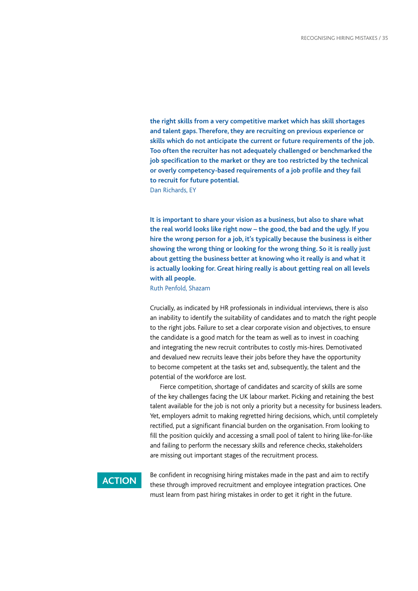**the right skills from a very competitive market which has skill shortages and talent gaps. Therefore, they are recruiting on previous experience or skills which do not anticipate the current or future requirements of the job. Too often the recruiter has not adequately challenged or benchmarked the job specification to the market or they are too restricted by the technical or overly competency-based requirements of a job profile and they fail to recruit for future potential.** Dan Richards, EY

**It is important to share your vision as a business, but also to share what the real world looks like right now – the good, the bad and the ugly. If you hire the wrong person for a job, it's typically because the business is either showing the wrong thing or looking for the wrong thing. So it is really just about getting the business better at knowing who it really is and what it is actually looking for. Great hiring really is about getting real on all levels with all people.**

Ruth Penfold, Shazam

Crucially, as indicated by HR professionals in individual interviews, there is also an inability to identify the suitability of candidates and to match the right people to the right jobs. Failure to set a clear corporate vision and objectives, to ensure the candidate is a good match for the team as well as to invest in coaching and integrating the new recruit contributes to costly mis-hires. Demotivated and devalued new recruits leave their jobs before they have the opportunity to become competent at the tasks set and, subsequently, the talent and the potential of the workforce are lost.

Fierce competition, shortage of candidates and scarcity of skills are some of the key challenges facing the UK labour market. Picking and retaining the best talent available for the job is not only a priority but a necessity for business leaders. Yet, employers admit to making regretted hiring decisions, which, until completely rectified, put a significant financial burden on the organisation. From looking to fill the position quickly and accessing a small pool of talent to hiring like-for-like and failing to perform the necessary skills and reference checks, stakeholders are missing out important stages of the recruitment process.

**ACTION**

Be confident in recognising hiring mistakes made in the past and aim to rectify these through improved recruitment and employee integration practices. One must learn from past hiring mistakes in order to get it right in the future.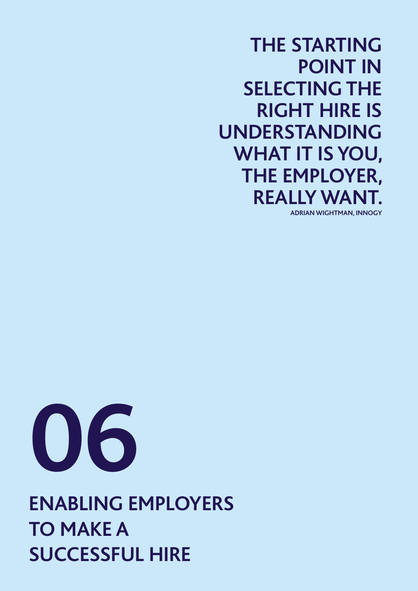<span id="page-35-0"></span>**THE STARTING POINT IN SELECTING THE RIGHT HIRE IS UNDERSTANDING WHAT IT IS YOU, THE EMPLOYER, REALLY WANT. ADRIAN WIGHTMAN, INNOGY**



**ENABLING EMPLOYERS TO MAKE A SUCCESSFUL HIRE**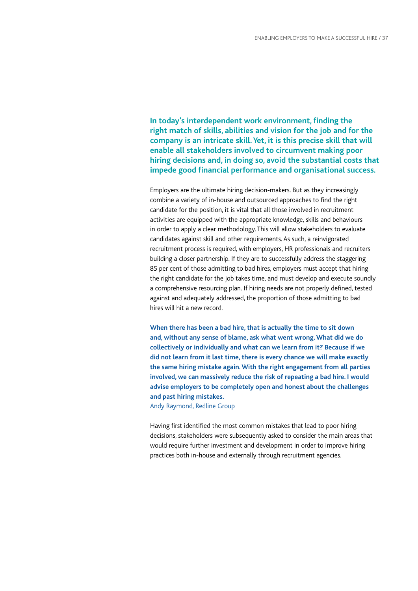**In today's interdependent work environment, finding the right match of skills, abilities and vision for the job and for the company is an intricate skill. Yet, it is this precise skill that will enable all stakeholders involved to circumvent making poor hiring decisions and, in doing so, avoid the substantial costs that impede good financial performance and organisational success.** 

Employers are the ultimate hiring decision-makers. But as they increasingly combine a variety of in-house and outsourced approaches to find the right candidate for the position, it is vital that all those involved in recruitment activities are equipped with the appropriate knowledge, skills and behaviours in order to apply a clear methodology. This will allow stakeholders to evaluate candidates against skill and other requirements. As such, a reinvigorated recruitment process is required, with employers, HR professionals and recruiters building a closer partnership. If they are to successfully address the staggering 85 per cent of those admitting to bad hires, employers must accept that hiring the right candidate for the job takes time, and must develop and execute soundly a comprehensive resourcing plan. If hiring needs are not properly defined, tested against and adequately addressed, the proportion of those admitting to bad hires will hit a new record.

**When there has been a bad hire, that is actually the time to sit down and, without any sense of blame, ask what went wrong. What did we do collectively or individually and what can we learn from it? Because if we did not learn from it last time, there is every chance we will make exactly the same hiring mistake again. With the right engagement from all parties involved, we can massively reduce the risk of repeating a bad hire. I would advise employers to be completely open and honest about the challenges and past hiring mistakes.** 

Andy Raymond, Redline Group

Having first identified the most common mistakes that lead to poor hiring decisions, stakeholders were subsequently asked to consider the main areas that would require further investment and development in order to improve hiring practices both in-house and externally through recruitment agencies.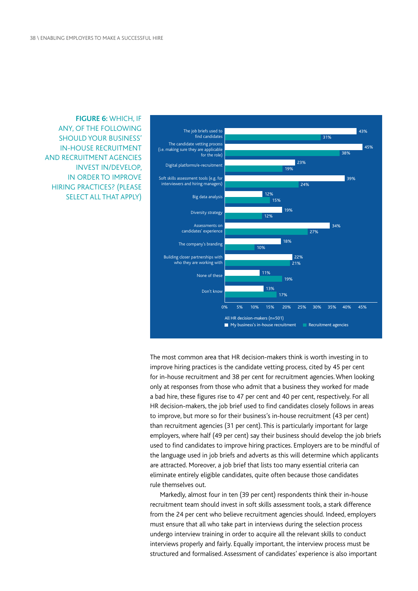

**FIGURE 6:** WHICH, IF ANY, OF THE FOLLOWING SHOULD YOUR BUSINESS' IN-HOUSE RECRUITMENT AND RECRUITMENT AGENCIES INVEST IN/DEVELOP, IN ORDER TO IMPROVE HIRING PRACTICES? (PLEASE SELECT ALL THAT APPLY)

> The most common area that HR decision-makers think is worth investing in to improve hiring practices is the candidate vetting process, cited by 45 per cent for in-house recruitment and 38 per cent for recruitment agencies. When looking only at responses from those who admit that a business they worked for made a bad hire, these figures rise to 47 per cent and 40 per cent, respectively. For all HR decision-makers, the job brief used to find candidates closely follows in areas to improve, but more so for their business's in-house recruitment (43 per cent) than recruitment agencies (31 per cent). This is particularly important for large employers, where half (49 per cent) say their business should develop the job briefs used to find candidates to improve hiring practices. Employers are to be mindful of the language used in job briefs and adverts as this will determine which applicants are attracted. Moreover, a job brief that lists too many essential criteria can eliminate entirely eligible candidates, quite often because those candidates rule themselves out.

Markedly, almost four in ten (39 per cent) respondents think their in-house recruitment team should invest in soft skills assessment tools, a stark difference from the 24 per cent who believe recruitment agencies should. Indeed, employers must ensure that all who take part in interviews during the selection process undergo interview training in order to acquire all the relevant skills to conduct interviews properly and fairly. Equally important, the interview process must be structured and formalised. Assessment of candidates' experience is also important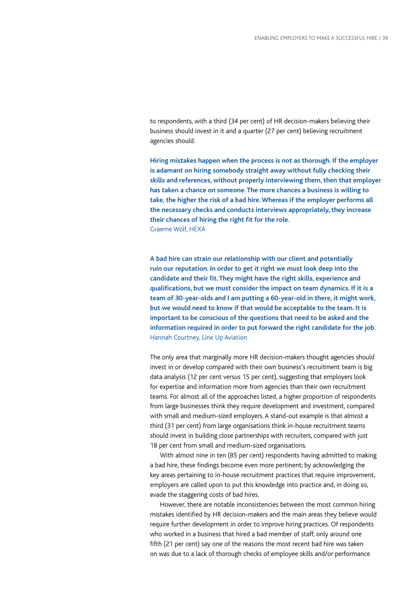to respondents, with a third (34 per cent) of HR decision-makers believing their business should invest in it and a quarter (27 per cent) believing recruitment agencies should.

**Hiring mistakes happen when the process is not as thorough. If the employer is adamant on hiring somebody straight away without fully checking their skills and references, without properly interviewing them, then that employer has taken a chance on someone. The more chances a business is willing to take, the higher the risk of a bad hire. Whereas if the employer performs all the necessary checks and conducts interviews appropriately, they increase their chances of hiring the right fit for the role.** Graeme Wolf, HEXA

**A bad hire can strain our relationship with our client and potentially ruin our reputation. In order to get it right we must look deep into the candidate and their fit. They might have the right skills, experience and qualifications, but we must consider the impact on team dynamics. If it is a team of 30-year-olds and I am putting a 60-year-old in there, it might work, but we would need to know if that would be acceptable to the team. It is important to be conscious of the questions that need to be asked and the information required in order to put forward the right candidate for the job.** Hannah Courtney, Line Up Aviation

The only area that marginally more HR decision-makers thought agencies should invest in or develop compared with their own business's recruitment team is big data analysis (12 per cent versus 15 per cent), suggesting that employers look for expertise and information more from agencies than their own recruitment teams. For almost all of the approaches listed, a higher proportion of respondents from large businesses think they require development and investment, compared with small and medium-sized employers. A stand-out example is that almost a third (31 per cent) from large organisations think in-house recruitment teams should invest in building close partnerships with recruiters, compared with just 18 per cent from small and medium-sized organisations.

With almost nine in ten (85 per cent) respondents having admitted to making a bad hire, these findings become even more pertinent; by acknowledging the key areas pertaining to in-house recruitment practices that require improvement, employers are called upon to put this knowledge into practice and, in doing so, evade the staggering costs of bad hires.

However, there are notable inconsistencies between the most common hiring mistakes identified by HR decision-makers and the main areas they believe would require further development in order to improve hiring practices. Of respondents who worked in a business that hired a bad member of staff, only around one fifth (21 per cent) say one of the reasons the most recent bad hire was taken on was due to a lack of thorough checks of employee skills and/or performance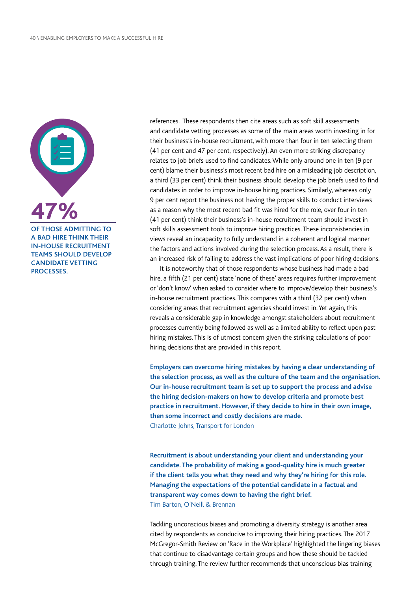

**A BAD HIRE THINK THEIR IN-HOUSE RECRUITMENT TEAMS SHOULD DEVELOP CANDIDATE VETTING PROCESSES.**

references. These respondents then cite areas such as soft skill assessments and candidate vetting processes as some of the main areas worth investing in for their business's in-house recruitment, with more than four in ten selecting them (41 per cent and 47 per cent, respectively). An even more striking discrepancy relates to job briefs used to find candidates. While only around one in ten (9 per cent) blame their business's most recent bad hire on a misleading job description, a third (33 per cent) think their business should develop the job briefs used to find candidates in order to improve in-house hiring practices. Similarly, whereas only 9 per cent report the business not having the proper skills to conduct interviews as a reason why the most recent bad fit was hired for the role, over four in ten (41 per cent) think their business's in-house recruitment team should invest in soft skills assessment tools to improve hiring practices. These inconsistencies in views reveal an incapacity to fully understand in a coherent and logical manner the factors and actions involved during the selection process. As a result, there is an increased risk of failing to address the vast implications of poor hiring decisions.

It is noteworthy that of those respondents whose business had made a bad hire, a fifth (21 per cent) state 'none of these' areas requires further improvement or 'don't know' when asked to consider where to improve/develop their business's in-house recruitment practices. This compares with a third (32 per cent) when considering areas that recruitment agencies should invest in. Yet again, this reveals a considerable gap in knowledge amongst stakeholders about recruitment processes currently being followed as well as a limited ability to reflect upon past hiring mistakes. This is of utmost concern given the striking calculations of poor hiring decisions that are provided in this report.

**Employers can overcome hiring mistakes by having a clear understanding of the selection process, as well as the culture of the team and the organisation. Our in-house recruitment team is set up to support the process and advise the hiring decision-makers on how to develop criteria and promote best practice in recruitment. However, if they decide to hire in their own image, then some incorrect and costly decisions are made.** Charlotte Johns, Transport for London

**Recruitment is about understanding your client and understanding your candidate. The probability of making a good-quality hire is much greater if the client tells you what they need and why they're hiring for this role. Managing the expectations of the potential candidate in a factual and transparent way comes down to having the right brief.**  Tim Barton, O'Neill & Brennan

Tackling unconscious biases and promoting a diversity strategy is another area cited by respondents as conducive to improving their hiring practices. The 2017 McGregor-Smith Review on 'Race in the Workplace' highlighted the lingering biases that continue to disadvantage certain groups and how these should be tackled through training. The review further recommends that unconscious bias training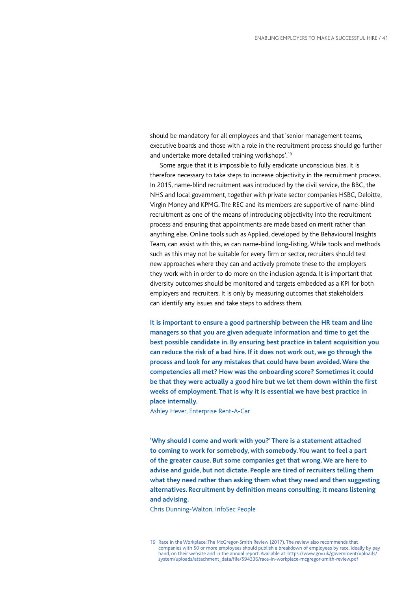should be mandatory for all employees and that 'senior management teams, executive boards and those with a role in the recruitment process should go further and undertake more detailed training workshops'.19

Some argue that it is impossible to fully eradicate unconscious bias. It is therefore necessary to take steps to increase objectivity in the recruitment process. In 2015, name-blind recruitment was introduced by the civil service, the BBC, the NHS and local government, together with private sector companies HSBC, Deloitte, Virgin Money and KPMG. The REC and its members are supportive of name-blind recruitment as one of the means of introducing objectivity into the recruitment process and ensuring that appointments are made based on merit rather than anything else. Online tools such as Applied, developed by the Behavioural Insights Team, can assist with this, as can name-blind long-listing. While tools and methods such as this may not be suitable for every firm or sector, recruiters should test new approaches where they can and actively promote these to the employers they work with in order to do more on the inclusion agenda. It is important that diversity outcomes should be monitored and targets embedded as a KPI for both employers and recruiters. It is only by measuring outcomes that stakeholders can identify any issues and take steps to address them.

**It is important to ensure a good partnership between the HR team and line managers so that you are given adequate information and time to get the best possible candidate in. By ensuring best practice in talent acquisition you can reduce the risk of a bad hire. If it does not work out, we go through the process and look for any mistakes that could have been avoided. Were the competencies all met? How was the onboarding score? Sometimes it could be that they were actually a good hire but we let them down within the first weeks of employment. That is why it is essential we have best practice in place internally.**

Ashley Hever, Enterprise Rent-A-Car

**'Why should I come and work with you?' There is a statement attached to coming to work for somebody, with somebody. You want to feel a part of the greater cause. But some companies get that wrong. We are here to advise and guide, but not dictate. People are tired of recruiters telling them what they need rather than asking them what they need and then suggesting alternatives. Recruitment by definition means consulting; it means listening and advising.**

Chris Dunning-Walton, InfoSec People

<sup>19</sup> Race in the Workplace: The McGregor-Smith Review (2017). The review also recommends that companies with 50 or more employees should publish a breakdown of employees by race, ideally by pay band, on their website and in the annual report. Available at: https://www.gov.uk/government/uploads, system/uploads/attachment\_data/file/594336/race-in-workplace-mcgregor-smith-review.pdf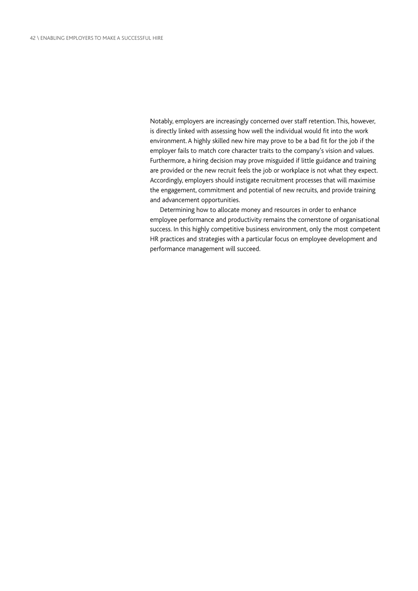Notably, employers are increasingly concerned over staff retention. This, however, is directly linked with assessing how well the individual would fit into the work environment. A highly skilled new hire may prove to be a bad fit for the job if the employer fails to match core character traits to the company's vision and values. Furthermore, a hiring decision may prove misguided if little guidance and training are provided or the new recruit feels the job or workplace is not what they expect. Accordingly, employers should instigate recruitment processes that will maximise the engagement, commitment and potential of new recruits, and provide training and advancement opportunities.

Determining how to allocate money and resources in order to enhance employee performance and productivity remains the cornerstone of organisational success. In this highly competitive business environment, only the most competent HR practices and strategies with a particular focus on employee development and performance management will succeed.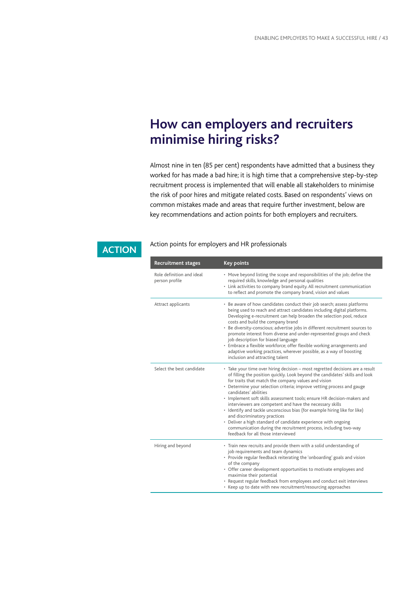## **How can employers and recruiters minimise hiring risks?**

Almost nine in ten (85 per cent) respondents have admitted that a business they worked for has made a bad hire; it is high time that a comprehensive step-by-step recruitment process is implemented that will enable all stakeholders to minimise the risk of poor hires and mitigate related costs. Based on respondents' views on common mistakes made and areas that require further investment, below are key recommendations and action points for both employers and recruiters.

#### **ACTION**

Action points for employers and HR professionals

| <b>Recruitment stages</b>                   | Key points                                                                                                                                                                                                                                                                                                                                                                                                                                                                                                                                                                                                                                                                                                                                             |
|---------------------------------------------|--------------------------------------------------------------------------------------------------------------------------------------------------------------------------------------------------------------------------------------------------------------------------------------------------------------------------------------------------------------------------------------------------------------------------------------------------------------------------------------------------------------------------------------------------------------------------------------------------------------------------------------------------------------------------------------------------------------------------------------------------------|
| Role definition and ideal<br>person profile | • Move beyond listing the scope and responsibilities of the job; define the<br>required skills, knowledge and personal qualities<br>• Link activities to company brand equity. All recruitment communication<br>to reflect and promote the company brand, vision and values                                                                                                                                                                                                                                                                                                                                                                                                                                                                            |
| Attract applicants                          | • Be aware of how candidates conduct their job search; assess platforms<br>being used to reach and attract candidates including digital platforms.<br>Developing e-recruitment can help broaden the selection pool, reduce<br>costs and build the company brand<br>• Be diversity-conscious; advertise jobs in different recruitment sources to<br>promote interest from diverse and under-represented groups and check<br>job description for biased language<br>• Embrace a flexible workforce; offer flexible working arrangements and<br>adaptive working practices, wherever possible, as a way of boosting<br>inclusion and attracting talent                                                                                                    |
| Select the best candidate                   | • Take your time over hiring decision – most regretted decisions are a result<br>of filling the position quickly. Look beyond the candidates' skills and look<br>for traits that match the company values and vision<br>• Determine your selection criteria; improve vetting process and gauge<br>candidates' abilities<br>· Implement soft skills assessment tools; ensure HR decision-makers and<br>interviewers are competent and have the necessary skills<br>• Identify and tackle unconscious bias (for example hiring like for like)<br>and discriminatory practices<br>• Deliver a high standard of candidate experience with ongoing<br>communication during the recruitment process, including two-way<br>feedback for all those interviewed |
| Hiring and beyond                           | • Train new recruits and provide them with a solid understanding of<br>job requirements and team dynamics<br>• Provide regular feedback reiterating the 'onboarding' goals and vision<br>of the company<br>• Offer career development opportunities to motivate employees and<br>maximise their potential<br>• Request regular feedback from employees and conduct exit interviews<br>• Keep up to date with new recruitment/resourcing approaches                                                                                                                                                                                                                                                                                                     |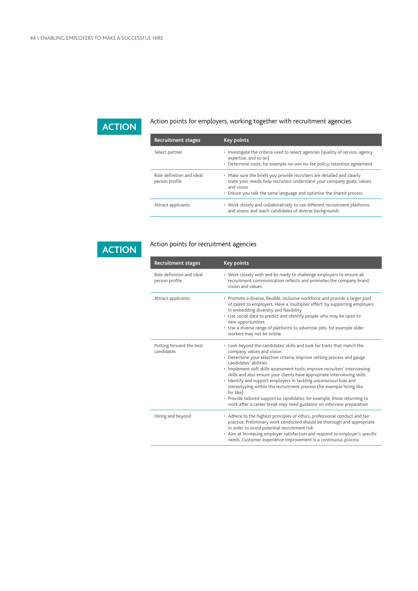### **ACTION**

#### Action points for employers, working together with recruitment agencies

| Recruitment stages                          | Key points                                                                                                                                                                                                                             |
|---------------------------------------------|----------------------------------------------------------------------------------------------------------------------------------------------------------------------------------------------------------------------------------------|
| Select partner                              | · Investigate the criteria used to select agencies (quality of service, agency<br>expertise, and so on)<br>• Determine costs, for example no-win no-fee policy, retention agreement                                                    |
| Role definition and ideal<br>person profile | • Make sure the briefs you provide recruiters are detailed and clearly<br>state your needs; help recruiters understand your company goals, values<br>and vision<br>• Ensure you talk the same language and optimise the shared process |
| Attract applicants                          | • Work closely and collaboratively to use different recruitment platforms<br>and assess and reach candidates of diverse backgrounds                                                                                                    |

### **ACTION**

#### Action points for recruitment agencies

| <b>Recruitment stages</b>                   | <b>Key points</b>                                                                                                                                                                                                                                                                                                                                                                                                                                                                                                                                                                                                                                                                |
|---------------------------------------------|----------------------------------------------------------------------------------------------------------------------------------------------------------------------------------------------------------------------------------------------------------------------------------------------------------------------------------------------------------------------------------------------------------------------------------------------------------------------------------------------------------------------------------------------------------------------------------------------------------------------------------------------------------------------------------|
| Role definition and ideal<br>person profile | • Work closely with and be ready to challenge employers to ensure all<br>recruitment communication reflects and promotes the company brand,<br>vision and values                                                                                                                                                                                                                                                                                                                                                                                                                                                                                                                 |
| Attract applicants                          | · Promote a diverse, flexible, inclusive workforce and provide a larger pool<br>of talent to employers. Have a 'multiplier effect' by supporting employers<br>in embedding diversity and flexibility<br>• Use social data to predict and identify people who may be open to<br>new opportunities<br>• Use a diverse range of platforms to advertise jobs, for example older<br>workers may not be online                                                                                                                                                                                                                                                                         |
| Putting forward the best<br>candidates      | • Look beyond the candidates' skills and look for traits that match the<br>company values and vision<br>• Determine your selection criteria; improve vetting process and gauge<br>candidates' abilities<br>· Implement soft skills assessment tools; improve recruiters' interviewing<br>skills and also ensure your clients have appropriate interviewing skills<br>· Identify and support employers in tackling unconscious bias and<br>stereotyping within the recruitment process (for example hiring like<br>for like)<br>• Provide tailored support to candidates; for example, those returning to<br>work after a career break may need guidance on interview preparation |
| Hiring and beyond                           | • Adhere to the highest principles of ethics, professional conduct and fair<br>practice. Preliminary work conducted should be thorough and appropriate<br>in order to avoid potential recruitment risk<br>• Aim at increasing employer satisfaction and respond to employer's specific<br>needs. Customer experience improvement is a continuous process                                                                                                                                                                                                                                                                                                                         |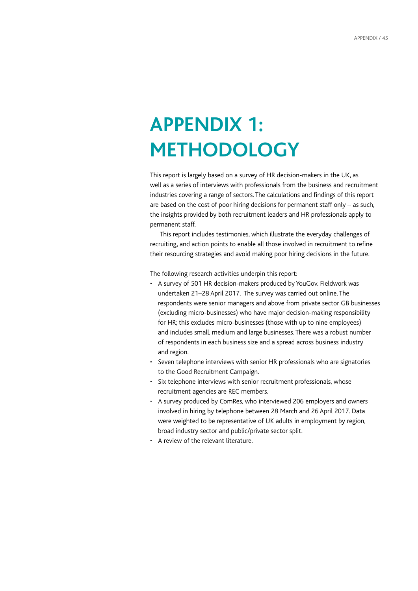## **APPENDIX 1: METHODOLOGY**

This report is largely based on a survey of HR decision-makers in the UK, as well as a series of interviews with professionals from the business and recruitment industries covering a range of sectors. The calculations and findings of this report are based on the cost of poor hiring decisions for permanent staff only – as such, the insights provided by both recruitment leaders and HR professionals apply to permanent staff.

This report includes testimonies, which illustrate the everyday challenges of recruiting, and action points to enable all those involved in recruitment to refine their resourcing strategies and avoid making poor hiring decisions in the future.

The following research activities underpin this report:

- A survey of 501 HR decision-makers produced by YouGov. Fieldwork was undertaken 21–28 April 2017. The survey was carried out online. The respondents were senior managers and above from private sector GB businesses (excluding micro-businesses) who have major decision-making responsibility for HR; this excludes micro-businesses (those with up to nine employees) and includes small, medium and large businesses. There was a robust number of respondents in each business size and a spread across business industry and region.
- Seven telephone interviews with senior HR professionals who are signatories to the Good Recruitment Campaign.
- Six telephone interviews with senior recruitment professionals, whose recruitment agencies are REC members.
- A survey produced by ComRes, who interviewed 206 employers and owners involved in hiring by telephone between 28 March and 26 April 2017. Data were weighted to be representative of UK adults in employment by region, broad industry sector and public/private sector split.
- A review of the relevant literature.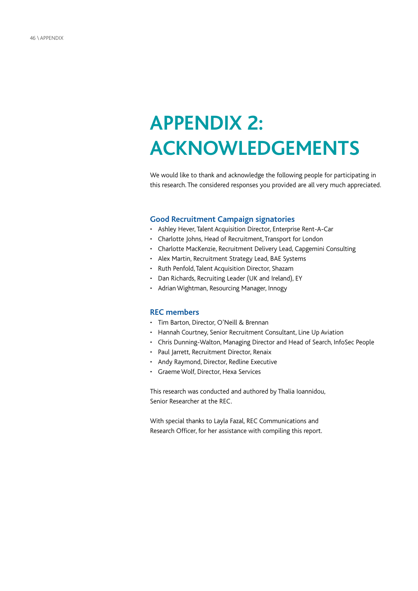## **APPENDIX 2: ACKNOWLEDGEMENTS**

We would like to thank and acknowledge the following people for participating in this research. The considered responses you provided are all very much appreciated.

#### **Good Recruitment Campaign signatories**

- Ashley Hever, Talent Acquisition Director, Enterprise Rent-A-Car
- Charlotte Johns, Head of Recruitment, Transport for London
- Charlotte MacKenzie, Recruitment Delivery Lead, Capgemini Consulting
- Alex Martin, Recruitment Strategy Lead, BAE Systems
- Ruth Penfold, Talent Acquisition Director, Shazam
- Dan Richards, Recruiting Leader (UK and Ireland), EY
- Adrian Wightman, Resourcing Manager, Innogy

#### **REC members**

- Tim Barton, Director, O'Neill & Brennan
- Hannah Courtney, Senior Recruitment Consultant, Line Up Aviation
- Chris Dunning-Walton, Managing Director and Head of Search, InfoSec People
- Paul Jarrett, Recruitment Director, Renaix
- Andy Raymond, Director, Redline Executive
- Graeme Wolf, Director, Hexa Services

This research was conducted and authored by Thalia Ioannidou, Senior Researcher at the REC.

With special thanks to Layla Fazal, REC Communications and Research Officer, for her assistance with compiling this report.